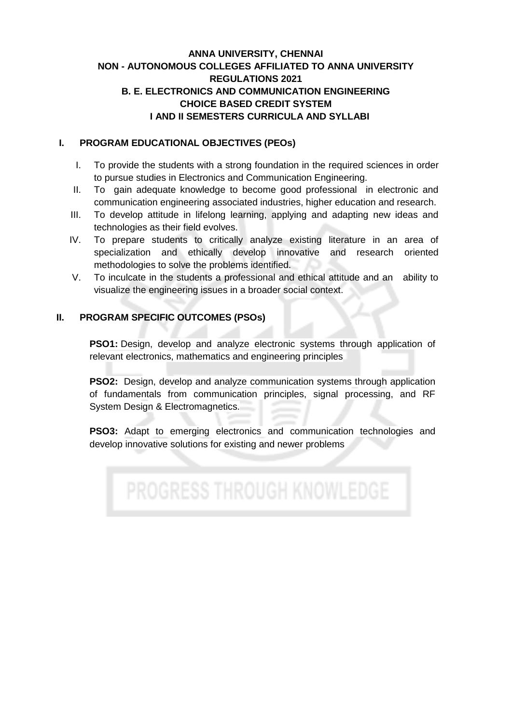# **ANNA UNIVERSITY, CHENNAI NON - AUTONOMOUS COLLEGES AFFILIATED TO ANNA UNIVERSITY REGULATIONS 2021 B. E. ELECTRONICS AND COMMUNICATION ENGINEERING CHOICE BASED CREDIT SYSTEM I AND II SEMESTERS CURRICULA AND SYLLABI**

#### **I. PROGRAM EDUCATIONAL OBJECTIVES (PEOs)**

- I. To provide the students with a strong foundation in the required sciences in order to pursue studies in Electronics and Communication Engineering.
- II. To gain adequate knowledge to become good professional in electronic and communication engineering associated industries, higher education and research.
- III. To develop attitude in lifelong learning, applying and adapting new ideas and technologies as their field evolves.
- IV. To prepare students to critically analyze existing literature in an area of specialization and ethically develop innovative and research oriented methodologies to solve the problems identified.
- V. To inculcate in the students a professional and ethical attitude and an ability to visualize the engineering issues in a broader social context.

# **II. PROGRAM SPECIFIC OUTCOMES (PSOs)**

**PSO1:** Design, develop and analyze electronic systems through application of relevant electronics, mathematics and engineering principles

**PSO2:** Design, develop and analyze communication systems through application of fundamentals from communication principles, signal processing, and RF System Design & Electromagnetics.

**PSO3:** Adapt to emerging electronics and communication technologies and develop innovative solutions for existing and newer problems

**PROGRESS THROUGH KNOWLEDGE**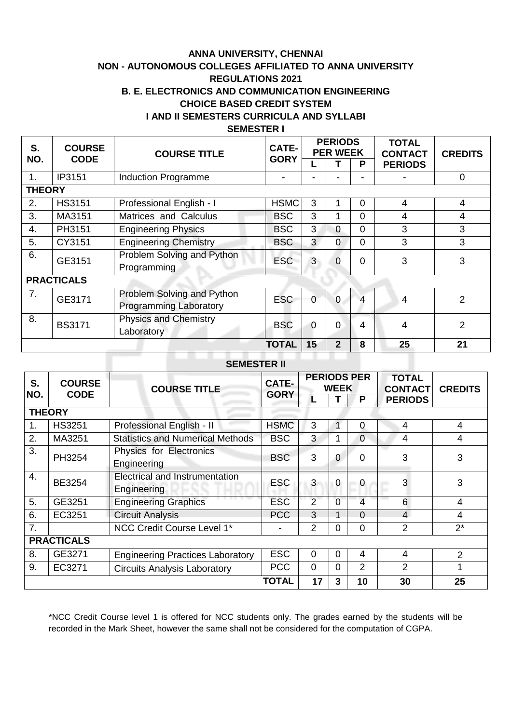# **ANNA UNIVERSITY, CHENNAI NON - AUTONOMOUS COLLEGES AFFILIATED TO ANNA UNIVERSITY REGULATIONS 2021 B. E. ELECTRONICS AND COMMUNICATION ENGINEERING CHOICE BASED CREDIT SYSTEM I AND II SEMESTERS CURRICULA AND SYLLABI SEMESTER I**

| S.<br>NO.        | <b>COURSE</b><br><b>CODE</b> | <b>COURSE TITLE</b>           | <b>CATE-</b><br><b>GORY</b> |                | <b>PERIODS</b><br><b>PER WEEK</b> |                | <b>TOTAL</b><br><b>CONTACT</b> | <b>CREDITS</b> |  |
|------------------|------------------------------|-------------------------------|-----------------------------|----------------|-----------------------------------|----------------|--------------------------------|----------------|--|
|                  |                              |                               |                             |                |                                   | P              | <b>PERIODS</b>                 |                |  |
| 1.               | IP3151                       | <b>Induction Programme</b>    |                             |                |                                   |                |                                | $\overline{0}$ |  |
| <b>THEORY</b>    |                              |                               |                             |                |                                   |                |                                |                |  |
| 2.               | <b>HS3151</b>                | Professional English - I      | <b>HSMC</b>                 | 3              |                                   | 0              | 4                              | 4              |  |
| 3.               | MA3151                       | Matrices and Calculus         | <b>BSC</b>                  | 3              | 1                                 | $\Omega$       | 4                              | 4              |  |
| $\overline{4}$ . | PH3151                       | <b>Engineering Physics</b>    | <b>BSC</b>                  | 3              | 0                                 | 0              | 3                              | 3              |  |
| 5.               | CY3151                       | <b>Engineering Chemistry</b>  | <b>BSC</b>                  | 3              | $\overline{0}$                    | $\overline{0}$ | 3                              | 3              |  |
| 6.               | GE3151                       | Problem Solving and Python    | <b>ESC</b>                  | 3              | $\overline{0}$                    | $\overline{0}$ | 3                              | 3              |  |
|                  |                              | Programming                   |                             |                |                                   |                |                                |                |  |
|                  | <b>PRACTICALS</b>            |                               |                             |                |                                   |                |                                |                |  |
| 7.               | GE3171                       | Problem Solving and Python    | <b>ESC</b>                  | $\overline{0}$ | $\mathbf 0$                       | $\overline{4}$ | 4                              | 2              |  |
|                  |                              | <b>Programming Laboratory</b> |                             |                |                                   |                |                                |                |  |
| 8.               | <b>BS3171</b>                | <b>Physics and Chemistry</b>  | <b>BSC</b>                  | $\overline{0}$ | $\overline{0}$                    | 4              | 4                              | $\overline{2}$ |  |
|                  |                              | Laboratory                    |                             |                |                                   |                |                                |                |  |
|                  |                              |                               | <b>TOTAL</b>                | 15             | $\mathbf{2}$                      | 8              | 25                             | 21             |  |

# **SEMESTER II**

| S.                | <b>COURSE</b> | <b>COURSE TITLE</b>                                  |              |                | <b>WEEK</b>    | <b>PERIODS PER</b> | <b>TOTAL</b><br><b>CONTACT</b> | <b>CREDITS</b> |
|-------------------|---------------|------------------------------------------------------|--------------|----------------|----------------|--------------------|--------------------------------|----------------|
| NO.               | <b>CODE</b>   |                                                      | <b>GORY</b>  | L              |                | P                  | <b>PERIODS</b>                 |                |
|                   | <b>THEORY</b> |                                                      |              |                |                |                    |                                |                |
| 1.                | <b>HS3251</b> | Professional English - II                            | <b>HSMC</b>  | 3              |                | 0                  | 4                              | 4              |
| 2.                | MA3251        | <b>Statistics and Numerical Methods</b>              | <b>BSC</b>   | 3              |                | $\overline{0}$     | 4                              | 4              |
| 3.                | PH3254        | Physics for Electronics<br>Engineering               | <b>BSC</b>   | 3              | 0              | $\Omega$           | 3                              | 3              |
| 4.                | BE3254        | <b>Electrical and Instrumentation</b><br>Engineering | <b>ESC</b>   | 3              | $\overline{0}$ | $\Omega$           | 3                              | 3              |
| 5.                | GE3251        | <b>Engineering Graphics</b>                          | <b>ESC</b>   | $\overline{2}$ | $\overline{0}$ | 4                  | 6                              | 4              |
| 6.                | EC3251        | <b>Circuit Analysis</b>                              | <b>PCC</b>   | 3              | 1              | $\Omega$           | $\overline{4}$                 | 4              |
| 7 <sub>1</sub>    |               | NCC Credit Course Level 1*                           |              | $\overline{2}$ | 0              | $\overline{0}$     | 2                              | $2^*$          |
| <b>PRACTICALS</b> |               |                                                      |              |                |                |                    |                                |                |
| 8.                | GE3271        | <b>Engineering Practices Laboratory</b>              | <b>ESC</b>   | $\overline{0}$ | $\overline{0}$ | 4                  | 4                              | $\overline{2}$ |
| 9.                | EC3271        | <b>Circuits Analysis Laboratory</b>                  | <b>PCC</b>   | $\Omega$       | 0              | $\overline{2}$     | $\overline{2}$                 |                |
|                   |               |                                                      | <b>TOTAL</b> | 17             | 3              | 10                 | 30                             | 25             |

\*NCC Credit Course level 1 is offered for NCC students only. The grades earned by the students will be recorded in the Mark Sheet, however the same shall not be considered for the computation of CGPA.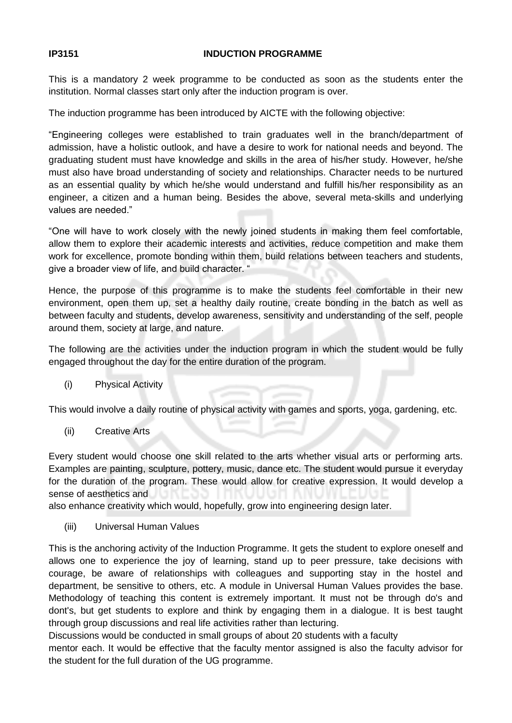#### **IP3151 INDUCTION PROGRAMME**

This is a mandatory 2 week programme to be conducted as soon as the students enter the institution. Normal classes start only after the induction program is over.

The induction programme has been introduced by AICTE with the following objective:

"Engineering colleges were established to train graduates well in the branch/department of admission, have a holistic outlook, and have a desire to work for national needs and beyond. The graduating student must have knowledge and skills in the area of his/her study. However, he/she must also have broad understanding of society and relationships. Character needs to be nurtured as an essential quality by which he/she would understand and fulfill his/her responsibility as an engineer, a citizen and a human being. Besides the above, several meta-skills and underlying values are needed."

"One will have to work closely with the newly joined students in making them feel comfortable, allow them to explore their academic interests and activities, reduce competition and make them work for excellence, promote bonding within them, build relations between teachers and students, give a broader view of life, and build character. "

Hence, the purpose of this programme is to make the students feel comfortable in their new environment, open them up, set a healthy daily routine, create bonding in the batch as well as between faculty and students, develop awareness, sensitivity and understanding of the self, people around them, society at large, and nature.

The following are the activities under the induction program in which the student would be fully engaged throughout the day for the entire duration of the program.

(i) Physical Activity

This would involve a daily routine of physical activity with games and sports, yoga, gardening, etc.

(ii) Creative Arts

Every student would choose one skill related to the arts whether visual arts or performing arts. Examples are painting, sculpture, pottery, music, dance etc. The student would pursue it everyday for the duration of the program. These would allow for creative expression. It would develop a sense of aesthetics and

also enhance creativity which would, hopefully, grow into engineering design later.

(iii) Universal Human Values

This is the anchoring activity of the Induction Programme. It gets the student to explore oneself and allows one to experience the joy of learning, stand up to peer pressure, take decisions with courage, be aware of relationships with colleagues and supporting stay in the hostel and department, be sensitive to others, etc. A module in Universal Human Values provides the base. Methodology of teaching this content is extremely important. It must not be through do's and dont's, but get students to explore and think by engaging them in a dialogue. It is best taught through group discussions and real life activities rather than lecturing.

Discussions would be conducted in small groups of about 20 students with a faculty

mentor each. It would be effective that the faculty mentor assigned is also the faculty advisor for the student for the full duration of the UG programme.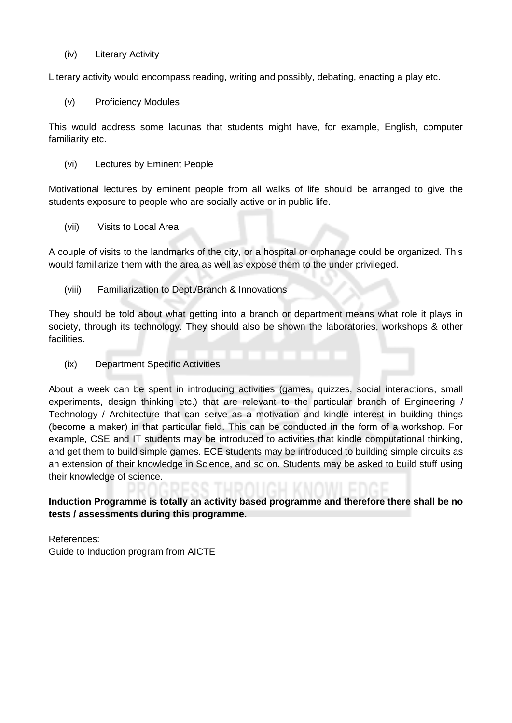(iv) Literary Activity

Literary activity would encompass reading, writing and possibly, debating, enacting a play etc.

(v) Proficiency Modules

This would address some lacunas that students might have, for example, English, computer familiarity etc.

(vi) Lectures by Eminent People

Motivational lectures by eminent people from all walks of life should be arranged to give the students exposure to people who are socially active or in public life.

(vii) Visits to Local Area

A couple of visits to the landmarks of the city, or a hospital or orphanage could be organized. This would familiarize them with the area as well as expose them to the under privileged.

(viii) Familiarization to Dept./Branch & Innovations

They should be told about what getting into a branch or department means what role it plays in society, through its technology. They should also be shown the laboratories, workshops & other facilities.

(ix) Department Specific Activities

About a week can be spent in introducing activities (games, quizzes, social interactions, small experiments, design thinking etc.) that are relevant to the particular branch of Engineering / Technology / Architecture that can serve as a motivation and kindle interest in building things (become a maker) in that particular field. This can be conducted in the form of a workshop. For example, CSE and IT students may be introduced to activities that kindle computational thinking, and get them to build simple games. ECE students may be introduced to building simple circuits as an extension of their knowledge in Science, and so on. Students may be asked to build stuff using their knowledge of science.

**Induction Programme is totally an activity based programme and therefore there shall be no tests / assessments during this programme.**

References: Guide to Induction program from AICTE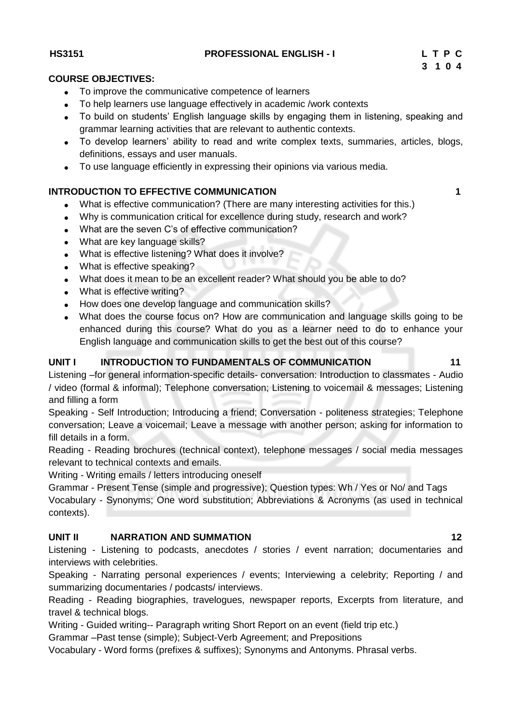**HS3151 PROFESSIONAL ENGLISH - I L T P C**

#### **3 1 0 4 COURSE OBJECTIVES:**

- To improve the communicative competence of learners
- To help learners use language effectively in academic /work contexts
- To build on students' English language skills by engaging them in listening, speaking and grammar learning activities that are relevant to authentic contexts.
- To develop learners' ability to read and write complex texts, summaries, articles, blogs, definitions, essays and user manuals.
- To use language efficiently in expressing their opinions via various media.

# **INTRODUCTION TO EFFECTIVE COMMUNICATION 1 1**

- What is effective communication? (There are many interesting activities for this.)
- Why is communication critical for excellence during study, research and work?
- What are the seven C's of effective communication?
- What are key language skills?
- What is effective listening? What does it involve?
- What is effective speaking?
- What does it mean to be an excellent reader? What should you be able to do?
- What is effective writing?
- How does one develop language and communication skills?
- What does the course focus on? How are communication and language skills going to be enhanced during this course? What do you as a learner need to do to enhance your English language and communication skills to get the best out of this course?

### UNIT I INTRODUCTION TO FUNDAMENTALS OF COMMUNICATION 11

Listening –for general information-specific details- conversation: Introduction to classmates - Audio / video (formal & informal); Telephone conversation; Listening to voicemail & messages; Listening and filling a form

Speaking - Self Introduction; Introducing a friend; Conversation - politeness strategies; Telephone conversation; Leave a voicemail; Leave a message with another person; asking for information to fill details in a form.

Reading - Reading brochures (technical context), telephone messages / social media messages relevant to technical contexts and emails.

Writing - Writing emails / letters introducing oneself

Grammar - Present Tense (simple and progressive); Question types: Wh / Yes or No/ and Tags

Vocabulary - Synonyms; One word substitution; Abbreviations & Acronyms (as used in technical contexts).

#### **UNIT II NARRATION AND SUMMATION 12**

Listening - Listening to podcasts, anecdotes / stories / event narration; documentaries and interviews with celebrities.

Speaking - Narrating personal experiences / events; Interviewing a celebrity; Reporting / and summarizing documentaries / podcasts/ interviews.

Reading - Reading biographies, travelogues, newspaper reports, Excerpts from literature, and travel & technical blogs.

Writing - Guided writing-- Paragraph writing Short Report on an event (field trip etc.)

Grammar –Past tense (simple); Subject-Verb Agreement; and Prepositions

Vocabulary - Word forms (prefixes & suffixes); Synonyms and Antonyms. Phrasal verbs.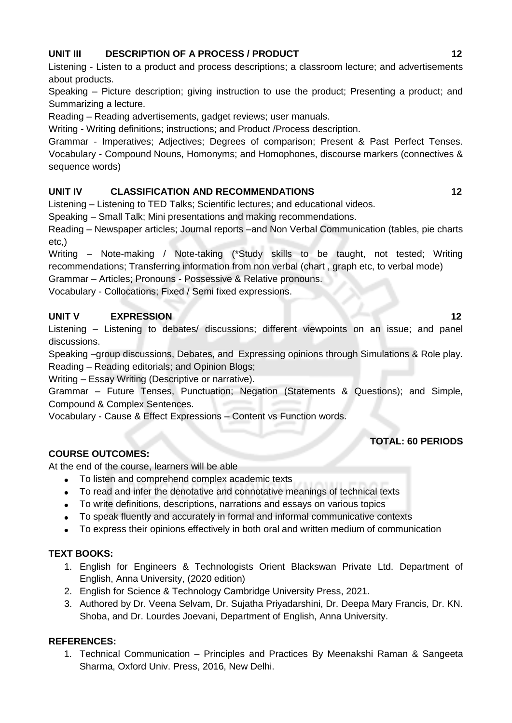# **UNIT III** DESCRIPTION OF A PROCESS / PRODUCT 12 **12**

Listening - Listen to a product and process descriptions; a classroom lecture; and advertisements about products.

Speaking – Picture description; giving instruction to use the product; Presenting a product; and Summarizing a lecture.

Reading – Reading advertisements, gadget reviews; user manuals.

Writing - Writing definitions; instructions; and Product /Process description.

Grammar - Imperatives; Adjectives; Degrees of comparison; Present & Past Perfect Tenses. Vocabulary - Compound Nouns, Homonyms; and Homophones, discourse markers (connectives & sequence words)

# **UNIT IV CLASSIFICATION AND RECOMMENDATIONS 12**

Listening – Listening to TED Talks; Scientific lectures; and educational videos.

Speaking – Small Talk; Mini presentations and making recommendations.

Reading – Newspaper articles; Journal reports –and Non Verbal Communication (tables, pie charts etc,)

Writing – Note-making / Note-taking (\*Study skills to be taught, not tested; Writing recommendations; Transferring information from non verbal (chart , graph etc, to verbal mode)

Grammar – Articles; Pronouns - Possessive & Relative pronouns.

Vocabulary - Collocations; Fixed / Semi fixed expressions.

# **UNIT V EXPRESSION 12**

Listening – Listening to debates/ discussions; different viewpoints on an issue; and panel discussions.

Speaking –group discussions, Debates, and Expressing opinions through Simulations & Role play. Reading – Reading editorials; and Opinion Blogs;

Writing – Essay Writing (Descriptive or narrative).

Grammar – Future Tenses, Punctuation; Negation (Statements & Questions); and Simple, Compound & Complex Sentences.

Vocabulary - Cause & Effect Expressions – Content vs Function words.

# **TOTAL: 60 PERIODS**

# **COURSE OUTCOMES:**

At the end of the course, learners will be able

- To listen and comprehend complex academic texts
- To read and infer the denotative and connotative meanings of technical texts
- To write definitions, descriptions, narrations and essays on various topics
- To speak fluently and accurately in formal and informal communicative contexts
- To express their opinions effectively in both oral and written medium of communication

# **TEXT BOOKS:**

- 1. English for Engineers & Technologists Orient Blackswan Private Ltd. Department of English, Anna University, (2020 edition)
- 2. English for Science & Technology Cambridge University Press, 2021.
- 3. Authored by Dr. Veena Selvam, Dr. Sujatha Priyadarshini, Dr. Deepa Mary Francis, Dr. KN. Shoba, and Dr. Lourdes Joevani, Department of English, Anna University.

# **REFERENCES:**

1. Technical Communication – Principles and Practices By Meenakshi Raman & Sangeeta Sharma, Oxford Univ. Press, 2016, New Delhi.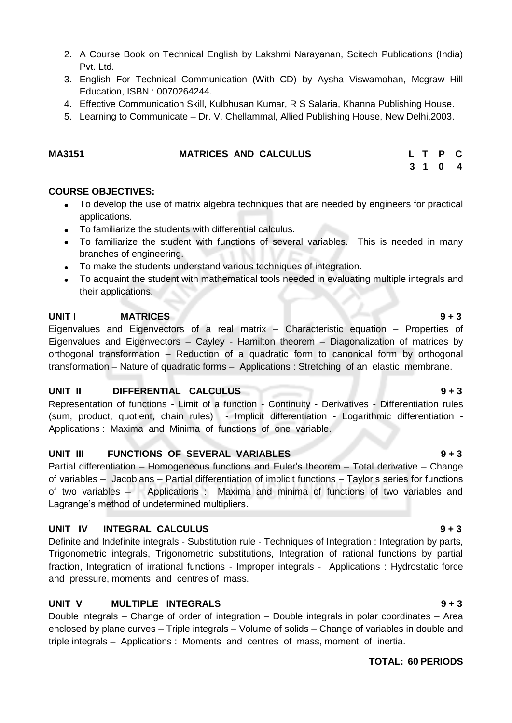- 2. A Course Book on Technical English by Lakshmi Narayanan, Scitech Publications (India) Pvt. Ltd.
- 3. English For Technical Communication (With CD) by [Aysha Viswamohan,](https://www.amazon.in/s/ref=dp_byline_sr_book_1?ie=UTF8&field-author=Aysha+Viswamohan&search-alias=stripbooks) Mcgraw Hill Education, ISBN : 0070264244.
- 4. Effective Communication Skill, Kulbhusan Kumar, R S Salaria, Khanna Publishing House.
- 5. Learning to Communicate Dr. V. Chellammal, Allied Publishing House, New Delhi,2003.

| MA3151 | <b>MATRICES AND CALCULUS</b> |  | L T P C |  |
|--------|------------------------------|--|---------|--|
|        |                              |  |         |  |

#### **3 1 0 4**

#### **COURSE OBJECTIVES:**

- To develop the use of matrix algebra techniques that are needed by engineers for practical applications.
- To familiarize the students with differential calculus.
- To familiarize the student with functions of several variables. This is needed in many branches of engineering.
- To make the students understand various techniques of integration.
- To acquaint the student with mathematical tools needed in evaluating multiple integrals and their applications.

#### **UNIT I** MATRICES 9 + 3

Eigenvalues and Eigenvectors of a real matrix – Characteristic equation – Properties of Eigenvalues and Eigenvectors – Cayley - Hamilton theorem – Diagonalization of matrices by orthogonal transformation – Reduction of a quadratic form to canonical form by orthogonal transformation – Nature of quadratic forms – Applications : Stretching of an elastic membrane.

#### **UNIT II DIFFERENTIAL CALCULUS 9 + 3**

Representation of functions - Limit of a function - Continuity - Derivatives - Differentiation rules (sum, product, quotient, chain rules) - Implicit differentiation - Logarithmic differentiation - Applications : Maxima and Minima of functions of one variable.

#### **UNIT III FUNCTIONS OF SEVERAL VARIABLES 9 + 3**

Partial differentiation – Homogeneous functions and Euler's theorem – Total derivative – Change of variables – Jacobians – Partial differentiation of implicit functions – Taylor's series for functions of two variables – Applications : Maxima and minima of functions of two variables and Lagrange's method of undetermined multipliers.

#### **UNIT IV INTEGRAL CALCULUS 9 + 3**

Definite and Indefinite integrals - Substitution rule - Techniques of Integration : Integration by parts, Trigonometric integrals, Trigonometric substitutions, Integration of rational functions by partial fraction, Integration of irrational functions - Improper integrals - Applications : Hydrostatic force and pressure, moments and centres of mass.

#### **UNIT V MULTIPLE INTEGRALS 9 + 3**

Double integrals – Change of order of integration – Double integrals in polar coordinates – Area enclosed by plane curves – Triple integrals – Volume of solids – Change of variables in double and triple integrals – Applications : Moments and centres of mass, moment of inertia.

#### **TOTAL: 60 PERIODS**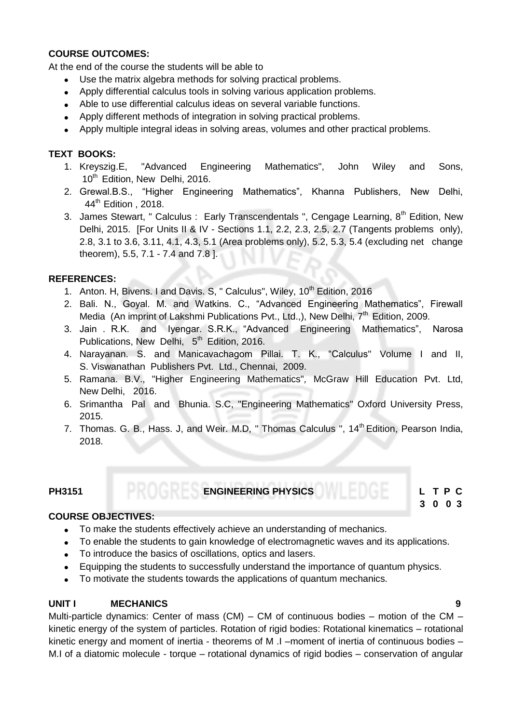#### **COURSE OUTCOMES:**

At the end of the course the students will be able to

- Use the matrix algebra methods for solving practical problems.
- Apply differential calculus tools in solving various application problems.
- Able to use differential calculus ideas on several variable functions.
- Apply different methods of integration in solving practical problems.
- Apply multiple integral ideas in solving areas, volumes and other practical problems.

### **TEXT BOOKS:**

- 1. Kreyszig.E, "Advanced Engineering Mathematics", John Wiley and Sons, 10<sup>th</sup> Edition, New Delhi, 2016.
- 2. Grewal.B.S., "Higher Engineering Mathematics", Khanna Publishers, New Delhi, 44<sup>th</sup> Edition , 2018.
- 3. James Stewart, " Calculus : Early Transcendentals ", Cengage Learning,  $8<sup>th</sup>$  Edition, New Delhi, 2015. [For Units II & IV - Sections 1.1, 2.2, 2.3, 2.5, 2.7 (Tangents problems only), 2.8, 3.1 to 3.6, 3.11, 4.1, 4.3, 5.1 (Area problems only), 5.2, 5.3, 5.4 (excluding net change theorem), 5.5, 7.1 - 7.4 and 7.8 ].

### **REFERENCES:**

- 1. Anton. H, Bivens. I and Davis. S, " Calculus", Wiley, 10<sup>th</sup> Edition, 2016
- 2. Bali. N., Goyal. M. and Watkins. C., "Advanced Engineering Mathematics", Firewall Media (An imprint of Lakshmi Publications Pvt., Ltd.,), New Delhi,  $7<sup>th</sup>$  Edition, 2009.
- 3. Jain . R.K. and Iyengar. S.R.K., "Advanced Engineering Mathematics", Narosa Publications, New Delhi, 5<sup>th</sup> Edition, 2016.
- 4. Narayanan. S. and Manicavachagom Pillai. T. K., "Calculus" Volume I and II, S. Viswanathan Publishers Pvt. Ltd., Chennai, 2009.
- 5. Ramana. B.V., "Higher Engineering Mathematics"*,* McGraw Hill Education Pvt. Ltd, New Delhi, 2016.
- 6. Srimantha Pal and Bhunia. S.C, "Engineering Mathematics" Oxford University Press, 2015.
- 7. Thomas. G. B., Hass. J. and Weir. M.D. " Thomas Calculus ", 14<sup>th</sup> Edition, Pearson India, 2018.

# **PH3151 ENGINEERING PHYSICS L T P C**

# **3 0 0 3**

#### **COURSE OBJECTIVES:**

- To make the students effectively achieve an understanding of mechanics.
- To enable the students to gain knowledge of electromagnetic waves and its applications.
- To introduce the basics of oscillations, optics and lasers.
- Equipping the students to successfully understand the importance of quantum physics.
- To motivate the students towards the applications of quantum mechanics.

#### **UNIT I MECHANICS 9**

Multi-particle dynamics: Center of mass  $(CM) - CM$  of continuous bodies – motion of the  $CM$ kinetic energy of the system of particles. Rotation of rigid bodies: Rotational kinematics – rotational kinetic energy and moment of inertia - theorems of M .I –moment of inertia of continuous bodies – M.I of a diatomic molecule - torque – rotational dynamics of rigid bodies – conservation of angular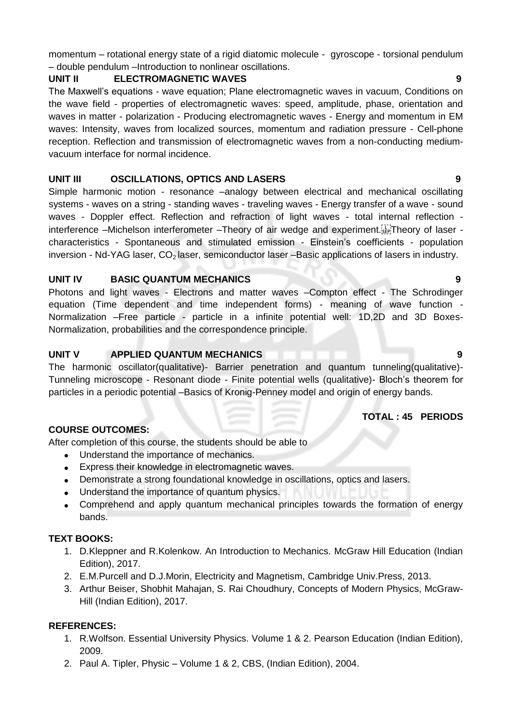momentum – rotational energy state of a rigid diatomic molecule - gyroscope - torsional pendulum – double pendulum –Introduction to nonlinear oscillations.

# **UNIT II ELECTROMAGNETIC WAVES 9**

The Maxwell's equations - wave equation; Plane electromagnetic waves in vacuum, Conditions on the wave field - properties of electromagnetic waves: speed, amplitude, phase, orientation and waves in matter - polarization - Producing electromagnetic waves - Energy and momentum in EM waves: Intensity, waves from localized sources, momentum and radiation pressure - Cell-phone reception. Reflection and transmission of electromagnetic waves from a non-conducting mediumvacuum interface for normal incidence.

### **UNIT III OSCILLATIONS, OPTICS AND LASERS 9**

Simple harmonic motion - resonance –analogy between electrical and mechanical oscillating systems - waves on a string - standing waves - traveling waves - Energy transfer of a wave - sound waves - Doppler effect. Reflection and refraction of light waves - total internal reflection interference –Michelson interferometer –Theory of air wedge and experiment. Fighteory of laser characteristics - Spontaneous and stimulated emission - Einstein's coefficients - population inversion - Nd-YAG laser,  $CO<sub>2</sub>$  laser, semiconductor laser –Basic applications of lasers in industry.

### **UNIT IV BASIC QUANTUM MECHANICS 9**

Photons and light waves - Electrons and matter waves –Compton effect - The Schrodinger equation (Time dependent and time independent forms) - meaning of wave function - Normalization –Free particle - particle in a infinite potential well: 1D,2D and 3D Boxes-Normalization, probabilities and the correspondence principle.

### **UNIT V APPLIED QUANTUM MECHANICS 9**

The harmonic oscillator(qualitative)- Barrier penetration and quantum tunneling(qualitative)- Tunneling microscope - Resonant diode - Finite potential wells (qualitative)- Bloch's theorem for particles in a periodic potential –Basics of Kronig-Penney model and origin of energy bands.

#### **TOTAL : 45 PERIODS**

# **COURSE OUTCOMES:**

After completion of this course, the students should be able to

- Understand the importance of mechanics.
- Express their knowledge in electromagnetic waves.
- Demonstrate a strong foundational knowledge in oscillations, optics and lasers.
- Understand the importance of quantum physics.
- Comprehend and apply quantum mechanical principles towards the formation of energy bands.

# **TEXT BOOKS:**

- 1. D.Kleppner and R.Kolenkow. An Introduction to Mechanics. McGraw Hill Education (Indian Edition), 2017.
- 2. E.M.Purcell and D.J.Morin, Electricity and Magnetism, Cambridge Univ.Press, 2013.
- 3. Arthur Beiser, Shobhit Mahajan, S. Rai Choudhury, Concepts of Modern Physics, McGraw-Hill (Indian Edition), 2017.

#### **REFERENCES:**

- 1. R.Wolfson. Essential University Physics. Volume 1 & 2. Pearson Education (Indian Edition), 2009.
- 2. Paul A. Tipler, Physic Volume 1 & 2, CBS, (Indian Edition), 2004.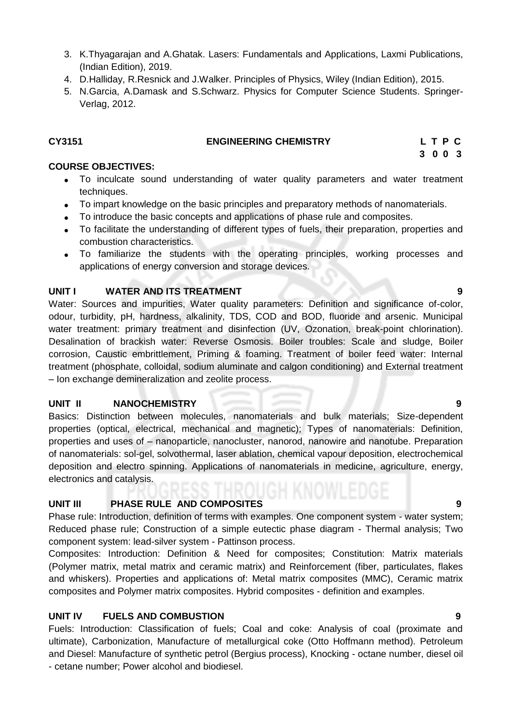- 3. K.Thyagarajan and A.Ghatak. Lasers: Fundamentals and Applications, Laxmi Publications, (Indian Edition), 2019.
- 4. D.Halliday, R.Resnick and J.Walker. Principles of Physics, Wiley (Indian Edition), 2015.
- 5. N.Garcia, A.Damask and S.Schwarz. Physics for Computer Science Students. Springer-Verlag, 2012.

#### **CY3151 ENGINEERING CHEMISTRY L T P C**

 **3 0 0 3**

### **COURSE OBJECTIVES:**

- To inculcate sound understanding of water quality parameters and water treatment techniques.
- To impart knowledge on the basic principles and preparatory methods of nanomaterials.
- To introduce the basic concepts and applications of phase rule and composites.
- To facilitate the understanding of different types of fuels, their preparation, properties and combustion characteristics.
- To familiarize the students with the operating principles, working processes and applications of energy conversion and storage devices.

### **UNIT I WATER AND ITS TREATMENT 9** 9

Water: Sources and impurities, Water quality parameters: Definition and significance of-color, odour, turbidity, pH, hardness, alkalinity, TDS, COD and BOD, fluoride and arsenic. Municipal water treatment: primary treatment and disinfection (UV, Ozonation, break-point chlorination). Desalination of brackish water: Reverse Osmosis. Boiler troubles: Scale and sludge, Boiler corrosion, Caustic embrittlement, Priming & foaming. Treatment of boiler feed water: Internal treatment (phosphate, colloidal, sodium aluminate and calgon conditioning) and External treatment – Ion exchange demineralization and zeolite process.

# **UNIT II NANOCHEMISTRY 9**

Basics: Distinction between molecules, nanomaterials and bulk materials; Size-dependent properties (optical, electrical, mechanical and magnetic); Types of nanomaterials: Definition, properties and uses of – nanoparticle, nanocluster, nanorod, nanowire and nanotube. Preparation of nanomaterials: sol-gel, solvothermal, laser ablation, chemical vapour deposition, electrochemical deposition and electro spinning. Applications of nanomaterials in medicine, agriculture, energy, electronics and catalysis.

# **UNIT III PHASE RULE AND COMPOSITES 9**

Phase rule: Introduction, definition of terms with examples. One component system - water system; Reduced phase rule; Construction of a simple eutectic phase diagram - Thermal analysis; Two component system: lead-silver system - Pattinson process.

Composites: Introduction: Definition & Need for composites; Constitution: Matrix materials (Polymer matrix, metal matrix and ceramic matrix) and Reinforcement (fiber, particulates, flakes and whiskers). Properties and applications of: Metal matrix composites (MMC), Ceramic matrix composites and Polymer matrix composites. Hybrid composites - definition and examples.

# **UNIT IV FUELS AND COMBUSTION 9**

Fuels: Introduction: Classification of fuels; Coal and coke: Analysis of coal (proximate and ultimate), Carbonization, Manufacture of metallurgical coke (Otto Hoffmann method). Petroleum and Diesel: Manufacture of synthetic petrol (Bergius process), Knocking - octane number, diesel oil - cetane number; Power alcohol and biodiesel.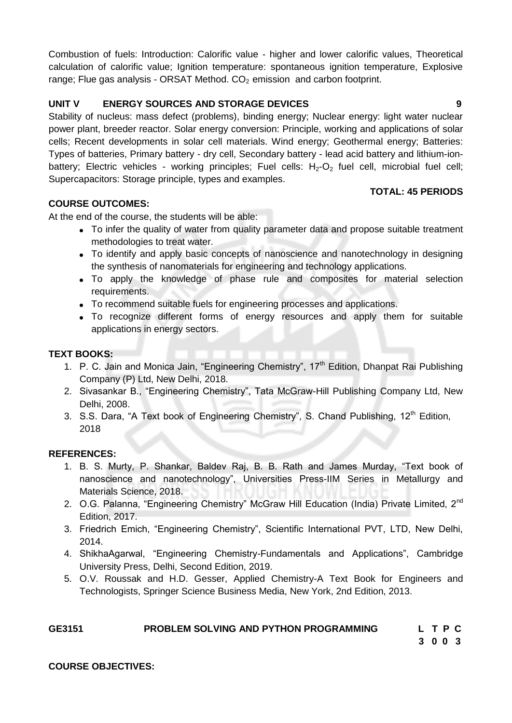Combustion of fuels: Introduction: Calorific value - higher and lower calorific values, Theoretical calculation of calorific value; Ignition temperature: spontaneous ignition temperature, Explosive range; Flue gas analysis - ORSAT Method.  $CO<sub>2</sub>$  emission and carbon footprint.

# **UNIT V ENERGY SOURCES AND STORAGE DEVICES 9**

Stability of nucleus: mass defect (problems), binding energy; Nuclear energy: light water nuclear power plant, breeder reactor. Solar energy conversion: Principle, working and applications of solar cells; Recent developments in solar cell materials. Wind energy; Geothermal energy; Batteries: Types of batteries, Primary battery - dry cell, Secondary battery - lead acid battery and lithium-ionbattery; Electric vehicles - working principles; Fuel cells:  $H_2$ - $O_2$  fuel cell, microbial fuel cell; Supercapacitors: Storage principle, types and examples.

# **TOTAL: 45 PERIODS**

# **COURSE OUTCOMES:**

At the end of the course, the students will be able:

- To infer the quality of water from quality parameter data and propose suitable treatment methodologies to treat water.
- To identify and apply basic concepts of nanoscience and nanotechnology in designing the synthesis of nanomaterials for engineering and technology applications.
- To apply the knowledge of phase rule and composites for material selection requirements.
- To recommend suitable fuels for engineering processes and applications.
- To recognize different forms of energy resources and apply them for suitable applications in energy sectors.

# **TEXT BOOKS:**

- 1. P. C. Jain and Monica Jain, "Engineering Chemistry", 17<sup>th</sup> Edition, Dhanpat Rai Publishing Company (P) Ltd, New Delhi, 2018.
- 2. Sivasankar B., "Engineering Chemistry", Tata McGraw-Hill Publishing Company Ltd, New Delhi, 2008.
- 3. S.S. Dara, "A Text book of Engineering Chemistry", S. Chand Publishing, 12<sup>th</sup> Edition, 2018

#### **REFERENCES:**

- 1. B. S. Murty, P. Shankar, Baldev Raj, B. B. Rath and James Murday, "Text book of nanoscience and nanotechnology", Universities Press-IIM Series in Metallurgy and Materials Science, 2018.
- 2. O.G. Palanna, "Engineering Chemistry" McGraw Hill Education (India) Private Limited, 2<sup>nd</sup> Edition, 2017.
- 3. Friedrich Emich, "Engineering Chemistry", Scientific International PVT, LTD, New Delhi, 2014.
- 4. ShikhaAgarwal, "Engineering Chemistry-Fundamentals and Applications", Cambridge University Press, Delhi, Second Edition, 2019.
- 5. O.V. Roussak and H.D. Gesser, Applied Chemistry-A Text Book for Engineers and Technologists, Springer Science Business Media, New York, 2nd Edition, 2013.

| GE3151 | <b>PROBLEM SOLVING AND PYTHON PROGRAMMING</b> | LTPC |  |  |
|--------|-----------------------------------------------|------|--|--|
|        |                                               | 3003 |  |  |

#### **COURSE OBJECTIVES:**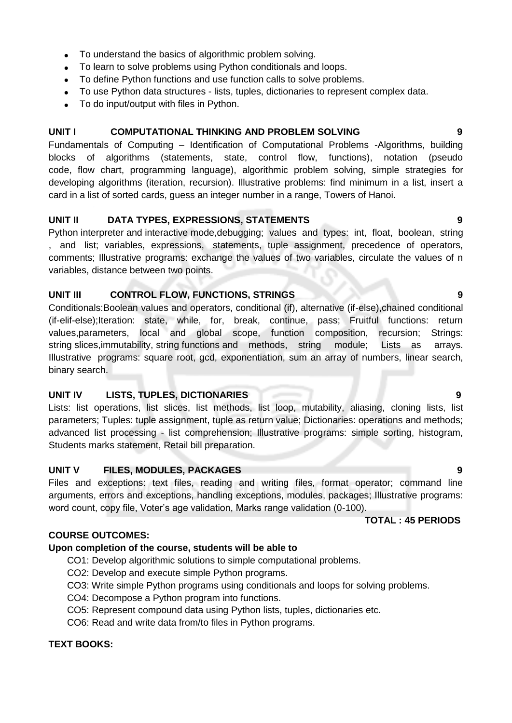- To understand the basics of algorithmic problem solving.
- To learn to solve problems using Python conditionals and loops.
- To define Python functions and use function calls to solve problems.
- To use Python data structures lists, tuples, dictionaries to represent complex data.
- To do input/output with files in Python.

### **UNIT I COMPUTATIONAL THINKING AND PROBLEM SOLVING 9**

Fundamentals of Computing – Identification of Computational Problems -Algorithms, building blocks of algorithms (statements, state, control flow, functions), notation (pseudo code, flow chart, programming language), algorithmic problem solving, simple strategies for developing algorithms (iteration, recursion). Illustrative problems: find minimum in a list, insert a card in a list of sorted cards, guess an integer number in a range, Towers of Hanoi.

### **UNIT II DATA TYPES, EXPRESSIONS, STATEMENTS 9**

Python interpreter and interactive mode,debugging; values and types: int, float, boolean, string , and list; variables, expressions, statements, tuple assignment, precedence of operators, comments; Illustrative programs: exchange the values of two variables, circulate the values of n variables, distance between two points.

### **UNIT III CONTROL FLOW, FUNCTIONS, STRINGS 9**

Conditionals:Boolean values and operators, conditional (if), alternative (if-else),chained conditional (if-elif-else);Iteration: state, while, for, break, continue, pass; Fruitful functions: return values,parameters, local and global scope, function composition, recursion; Strings: string slices,immutability, string functions and methods, string module; Lists as arrays. Illustrative programs: square root, gcd, exponentiation, sum an array of numbers, linear search, binary search.

# **UNIT IV LISTS, TUPLES, DICTIONARIES 9**

Lists: list operations, list slices, list methods, list loop, mutability, aliasing, cloning lists, list parameters; Tuples: tuple assignment, tuple as return value; Dictionaries: operations and methods; advanced list processing - list comprehension; Illustrative programs: simple sorting, histogram, Students marks statement, Retail bill preparation.

# **UNIT V FILES, MODULES, PACKAGES 9**

Files and exceptions: text files, reading and writing files, format operator; command line arguments, errors and exceptions, handling exceptions, modules, packages; Illustrative programs: word count, copy file, Voter's age validation, Marks range validation (0-100).

**TOTAL : 45 PERIODS**

#### **COURSE OUTCOMES:**

# **Upon completion of the course, students will be able to**

- CO1: Develop algorithmic solutions to simple computational problems.
- CO2: Develop and execute simple Python programs.
- CO3: Write simple Python programs using conditionals and loops for solving problems.
- CO4: Decompose a Python program into functions.
- CO5: Represent compound data using Python lists, tuples, dictionaries etc.
- CO6: Read and write data from/to files in Python programs.

# **TEXT BOOKS:**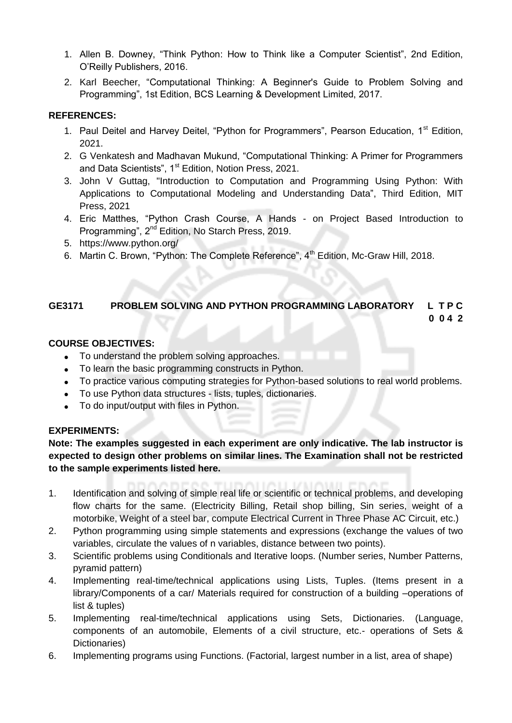- 1. Allen B. Downey, "Think Python: How to Think like a Computer Scientist", 2nd Edition, O'Reilly Publishers, 2016.
- 2. Karl Beecher, "Computational Thinking: A Beginner's Guide to Problem Solving and Programming", 1st Edition, BCS Learning & Development Limited, 2017.

# **REFERENCES:**

- 1. Paul Deitel and Harvey Deitel, "Python for Programmers", Pearson Education, 1<sup>st</sup> Edition, 2021.
- 2. G Venkatesh and Madhavan Mukund, "Computational Thinking: A Primer for Programmers and Data Scientists", 1<sup>st</sup> Edition, Notion Press, 2021.
- 3. John V Guttag, "Introduction to Computation and Programming Using Python: With Applications to Computational Modeling and Understanding Data", Third Edition, MIT Press, 2021
- 4. Eric Matthes, "Python Crash Course, A Hands on Project Based Introduction to Programming", 2<sup>nd</sup> Edition, No Starch Press, 2019.
- 5. https://www.python.org/
- 6. Martin C. Brown, "Python: The Complete Reference", 4<sup>th</sup> Edition, Mc-Graw Hill, 2018.

# **GE3171 PROBLEM SOLVING AND PYTHON PROGRAMMING LABORATORY L T P C 0 0 4 2**

# **COURSE OBJECTIVES:**

- To understand the problem solving approaches.
- To learn the basic programming constructs in Python.
- To practice various computing strategies for Python-based solutions to real world problems.
- To use Python data structures lists, tuples, dictionaries.
- To do input/output with files in Python.

# **EXPERIMENTS:**

**Note: The examples suggested in each experiment are only indicative. The lab instructor is expected to design other problems on similar lines. The Examination shall not be restricted to the sample experiments listed here.**

- 1. Identification and solving of simple real life or scientific or technical problems, and developing flow charts for the same. (Electricity Billing, Retail shop billing, Sin series, weight of a motorbike, Weight of a steel bar, compute Electrical Current in Three Phase AC Circuit, etc.)
- 2. Python programming using simple statements and expressions (exchange the values of two variables, circulate the values of n variables, distance between two points).
- 3. Scientific problems using Conditionals and Iterative loops. (Number series, Number Patterns, pyramid pattern)
- 4. Implementing real-time/technical applications using Lists, Tuples. (Items present in a library/Components of a car/ Materials required for construction of a building –operations of list & tuples)
- 5. Implementing real-time/technical applications using Sets, Dictionaries. (Language, components of an automobile, Elements of a civil structure, etc.- operations of Sets & Dictionaries)
- 6. Implementing programs using Functions. (Factorial, largest number in a list, area of shape)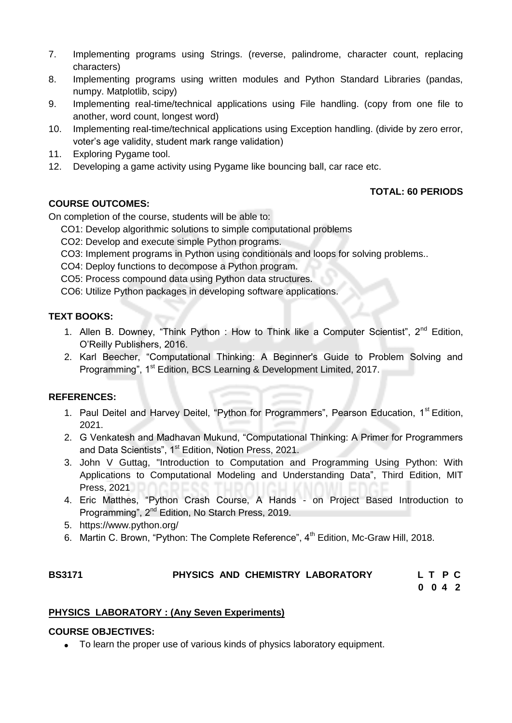- 7. Implementing programs using Strings. (reverse, palindrome, character count, replacing characters)
- 8. Implementing programs using written modules and Python Standard Libraries (pandas, numpy. Matplotlib, scipy)
- 9. Implementing real-time/technical applications using File handling. (copy from one file to another, word count, longest word)
- 10. Implementing real-time/technical applications using Exception handling. (divide by zero error, voter's age validity, student mark range validation)
- 11. Exploring Pygame tool.
- 12. Developing a game activity using Pygame like bouncing ball, car race etc.

# **TOTAL: 60 PERIODS**

# **COURSE OUTCOMES:**

On completion of the course, students will be able to:

- CO1: Develop algorithmic solutions to simple computational problems
- CO2: Develop and execute simple Python programs.
- CO3: Implement programs in Python using conditionals and loops for solving problems..
- CO4: Deploy functions to decompose a Python program.
- CO5: Process compound data using Python data structures.
- CO6: Utilize Python packages in developing software applications.

# **TEXT BOOKS:**

- 1. Allen B. Downey, "Think Python : How to Think like a Computer Scientist", 2<sup>nd</sup> Edition, O'Reilly Publishers, 2016.
- 2. Karl Beecher, "Computational Thinking: A Beginner's Guide to Problem Solving and Programming", 1<sup>st</sup> Edition, BCS Learning & Development Limited, 2017.

# **REFERENCES:**

- 1. Paul Deitel and Harvey Deitel, "Python for Programmers", Pearson Education, 1<sup>st</sup> Edition, 2021.
- 2. G Venkatesh and Madhavan Mukund, "Computational Thinking: A Primer for Programmers and Data Scientists", 1<sup>st</sup> Edition, Notion Press, 2021.
- 3. John V Guttag, "Introduction to Computation and Programming Using Python: With Applications to Computational Modeling and Understanding Data", Third Edition, MIT Press, 2021
- 4. Eric Matthes, "Python Crash Course, A Hands on Project Based Introduction to Programming", 2nd Edition, No Starch Press, 2019.
- 5. https://www.python.org/
- 6. Martin C. Brown, "Python: The Complete Reference", 4<sup>th</sup> Edition, Mc-Graw Hill. 2018.

# BS3171 PHYSICS AND CHEMISTRY LABORATORY LT P C

**0 0 4 2**

# **PHYSICS LABORATORY : (Any Seven Experiments)**

# **COURSE OBJECTIVES:**

To learn the proper use of various kinds of physics laboratory equipment.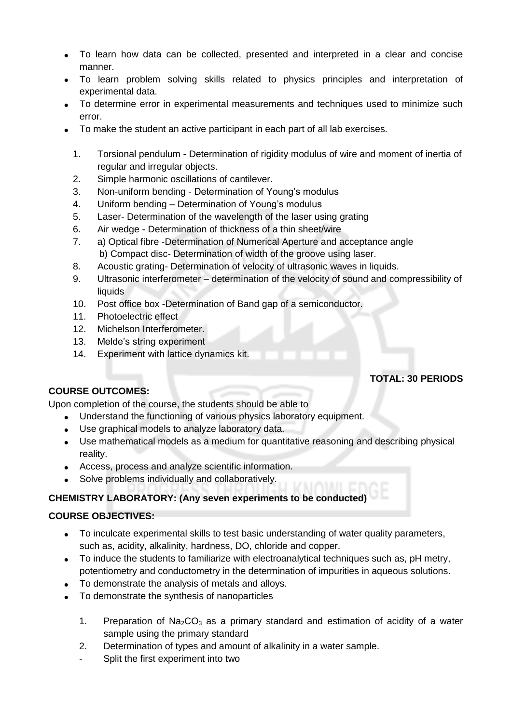- To learn how data can be collected, presented and interpreted in a clear and concise manner.
- To learn problem solving skills related to physics principles and interpretation of experimental data.
- To determine error in experimental measurements and techniques used to minimize such error.
- To make the student an active participant in each part of all lab exercises.
	- 1. Torsional pendulum Determination of rigidity modulus of wire and moment of inertia of regular and irregular objects.
	- 2. Simple harmonic oscillations of cantilever.
	- 3. Non-uniform bending Determination of Young's modulus
	- 4. Uniform bending Determination of Young's modulus
	- 5. Laser- Determination of the wavelength of the laser using grating
	- 6. Air wedge Determination of thickness of a thin sheet/wire
	- 7. a) Optical fibre -Determination of Numerical Aperture and acceptance angle b) Compact disc- Determination of width of the groove using laser.
	- 8. Acoustic grating- Determination of velocity of ultrasonic waves in liquids.
	- 9. Ultrasonic interferometer determination of the velocity of sound and compressibility of **liquids**
	- 10. Post office box -Determination of Band gap of a semiconductor.
	- 11. Photoelectric effect
	- 12. Michelson Interferometer.
	- 13. Melde's string experiment
	- 14. Experiment with lattice dynamics kit.

# **TOTAL: 30 PERIODS**

#### **COURSE OUTCOMES:**

Upon completion of the course, the students should be able to

- Understand the functioning of various physics laboratory equipment.
- Use graphical models to analyze laboratory data.
- Use mathematical models as a medium for quantitative reasoning and describing physical reality.
- Access, process and analyze scientific information.
- Solve problems individually and collaboratively.

# **CHEMISTRY LABORATORY: (Any seven experiments to be conducted)**

#### **COURSE OBJECTIVES:**

- To inculcate experimental skills to test basic understanding of water quality parameters, such as, acidity, alkalinity, hardness, DO, chloride and copper.
- To induce the students to familiarize with electroanalytical techniques such as, pH metry, potentiometry and conductometry in the determination of impurities in aqueous solutions.
- To demonstrate the analysis of metals and alloys.
- To demonstrate the synthesis of nanoparticles
	- 1. Preparation of  $Na<sub>2</sub>CO<sub>3</sub>$  as a primary standard and estimation of acidity of a water sample using the primary standard
	- 2. Determination of types and amount of alkalinity in a water sample.
	- Split the first experiment into two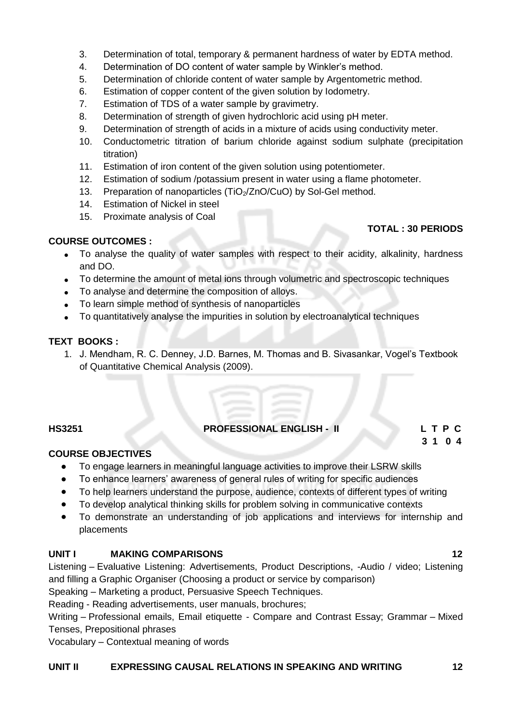- 3. Determination of total, temporary & permanent hardness of water by EDTA method.
- 4. Determination of DO content of water sample by Winkler's method.
- 5. Determination of chloride content of water sample by Argentometric method.
- 6. Estimation of copper content of the given solution by Iodometry.
- 7. Estimation of TDS of a water sample by gravimetry.
- 8. Determination of strength of given hydrochloric acid using pH meter.
- 9. Determination of strength of acids in a mixture of acids using conductivity meter.
- 10. Conductometric titration of barium chloride against sodium sulphate (precipitation titration)
- 11. Estimation of iron content of the given solution using potentiometer.
- 12. Estimation of sodium /potassium present in water using a flame photometer.
- 13. Preparation of nanoparticles  $(TiO<sub>2</sub>/ZnO/CuO)$  by Sol-Gel method.
- 14. Estimation of Nickel in steel
- 15. Proximate analysis of Coal

# **TOTAL : 30 PERIODS**

### **COURSE OUTCOMES :**

- To analyse the quality of water samples with respect to their acidity, alkalinity, hardness and DO.
- To determine the amount of metal ions through volumetric and spectroscopic techniques
- To analyse and determine the composition of alloys.
- To learn simple method of synthesis of nanoparticles
- To quantitatively analyse the impurities in solution by electroanalytical techniques

### **TEXT BOOKS :**

1. J. Mendham, R. C. Denney, J.D. Barnes, M. Thomas and B. Sivasankar, Vogel's Textbook of Quantitative Chemical Analysis (2009).

# **HS3251 PROFESSIONAL ENGLISH - II L T P C**

 **3 1 0 4**

#### **COURSE OBJECTIVES**

- To engage learners in meaningful language activities to improve their LSRW skills
- To enhance learners' awareness of general rules of writing for specific audiences
- To help learners understand the purpose, audience, contexts of different types of writing
- To develop analytical thinking skills for problem solving in communicative contexts
- To demonstrate an understanding of job applications and interviews for internship and placements

#### **UNIT I MAKING COMPARISONS 12**

Listening – Evaluative Listening: Advertisements, Product Descriptions, -Audio / video; Listening and filling a Graphic Organiser (Choosing a product or service by comparison)

Speaking – Marketing a product, Persuasive Speech Techniques.

Reading - Reading advertisements, user manuals, brochures;

Writing – Professional emails, Email etiquette - Compare and Contrast Essay; Grammar – Mixed Tenses, Prepositional phrases

Vocabulary – Contextual meaning of words

#### **UNIT II EXPRESSING CAUSAL RELATIONS IN SPEAKING AND WRITING 12**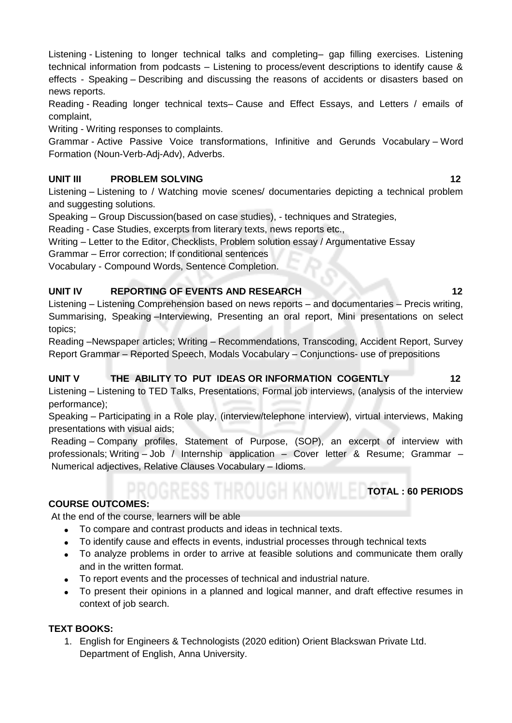Listening - Listening to longer technical talks and completing– gap filling exercises. Listening technical information from podcasts – Listening to process/event descriptions to identify cause & effects - Speaking – Describing and discussing the reasons of accidents or disasters based on news reports.

Reading - Reading longer technical texts– Cause and Effect Essays, and Letters / emails of complaint,

Writing - Writing responses to complaints.

Grammar - Active Passive Voice transformations, Infinitive and Gerunds Vocabulary – Word Formation (Noun-Verb-Adj-Adv), Adverbs.

# **UNIT III** PROBLEM SOLVING **12**

Listening – Listening to / Watching movie scenes/ documentaries depicting a technical problem and suggesting solutions.

Speaking – Group Discussion(based on case studies), - techniques and Strategies,

Reading - Case Studies, excerpts from literary texts, news reports etc.,

Writing – Letter to the Editor, Checklists, Problem solution essay / Argumentative Essay

Grammar – Error correction; If conditional sentences

Vocabulary - Compound Words, Sentence Completion.

# **UNIT IV REPORTING OF EVENTS AND RESEARCH 12**

Listening – Listening Comprehension based on news reports – and documentaries – Precis writing, Summarising, Speaking –Interviewing, Presenting an oral report, Mini presentations on select topics;

Reading –Newspaper articles; Writing – Recommendations, Transcoding, Accident Report, Survey Report Grammar – Reported Speech, Modals Vocabulary – Conjunctions- use of prepositions

# **UNIT V THE ABILITY TO PUT IDEAS OR INFORMATION COGENTLY 12**

Listening – Listening to TED Talks, Presentations, Formal job interviews, (analysis of the interview performance);

Speaking – Participating in a Role play, (interview/telephone interview), virtual interviews, Making presentations with visual aids;

Reading – Company profiles, Statement of Purpose, (SOP), an excerpt of interview with professionals; Writing – Job / Internship application – Cover letter & Resume; Grammar – Numerical adjectives, Relative Clauses Vocabulary – Idioms.

# **COURSE OUTCOMES:**

At the end of the course, learners will be able

- To compare and contrast products and ideas in technical texts.
- To identify cause and effects in events, industrial processes through technical texts
- To analyze problems in order to arrive at feasible solutions and communicate them orally and in the written format.
- To report events and the processes of technical and industrial nature.
- To present their opinions in a planned and logical manner, and draft effective resumes in context of job search.

# **TEXT BOOKS:**

1. English for Engineers & Technologists (2020 edition) Orient Blackswan Private Ltd. Department of English, Anna University.

**TOTAL : 60 PERIODS**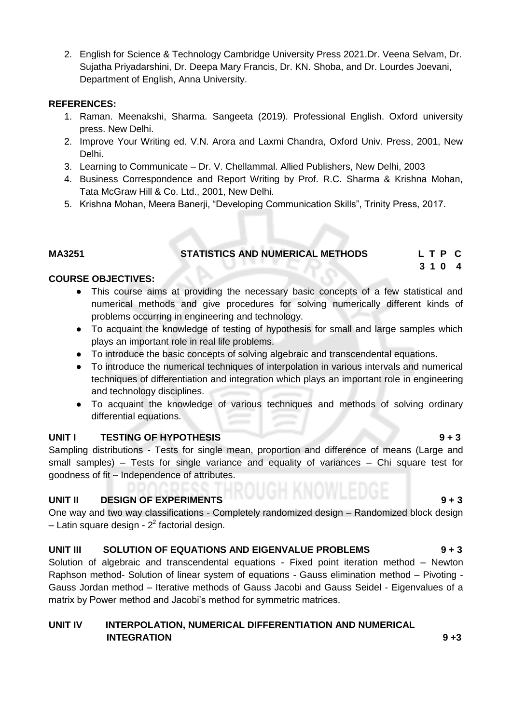2. English for Science & Technology Cambridge University Press 2021.Dr. Veena Selvam, Dr. Sujatha Priyadarshini, Dr. Deepa Mary Francis, Dr. KN. Shoba, and Dr. Lourdes Joevani, Department of English, Anna University.

#### **REFERENCES:**

- 1. Raman. Meenakshi, Sharma. Sangeeta (2019). Professional English. Oxford university press. New Delhi.
- 2. Improve Your Writing ed. V.N. Arora and Laxmi Chandra, Oxford Univ. Press, 2001, New Delhi.
- 3. Learning to Communicate Dr. V. Chellammal. Allied Publishers, New Delhi, 2003
- 4. Business Correspondence and Report Writing by Prof. R.C. Sharma & Krishna Mohan, Tata McGraw Hill & Co. Ltd., 2001, New Delhi.
- 5. Krishna Mohan, Meera Banerji, "Developing Communication Skills", Trinity Press, 2017.

# **MA3251 STATISTICS AND NUMERICAL METHODS L T P C**

 **3 1 0 4**

# **COURSE OBJECTIVES:**

- This course aims at providing the necessary basic concepts of a few statistical and numerical methods and give procedures for solving numerically different kinds of problems occurring in engineering and technology.
- To acquaint the knowledge of testing of hypothesis for small and large samples which plays an important role in real life problems.
- To introduce the basic concepts of solving algebraic and transcendental equations.
- To introduce the numerical techniques of interpolation in various intervals and numerical techniques of differentiation and integration which plays an important role in engineering and technology disciplines.
- To acquaint the knowledge of various techniques and methods of solving ordinary differential equations.

# **UNIT I TESTING OF HYPOTHESIS 9 + 3**

Sampling distributions - Tests for single mean, proportion and difference of means (Large and small samples) – Tests for single variance and equality of variances – Chi square test for goodness of fit – Independence of attributes.

# **UNIT II DESIGN OF EXPERIMENTS 19 + 3**

One way and two way classifications - Completely randomized design – Randomized block design  $-$  Latin square design -  $2<sup>2</sup>$  factorial design.

# **UNIT III SOLUTION OF EQUATIONS AND EIGENVALUE PROBLEMS 9 + 3**

Solution of algebraic and transcendental equations - Fixed point iteration method – Newton Raphson method- Solution of linear system of equations - Gauss elimination method – Pivoting - Gauss Jordan method – Iterative methods of Gauss Jacobi and Gauss Seidel - Eigenvalues of a matrix by Power method and Jacobi's method for symmetric matrices.

# **UNIT IV INTERPOLATION, NUMERICAL DIFFERENTIATION AND NUMERICAL INTEGRATION** 9 +3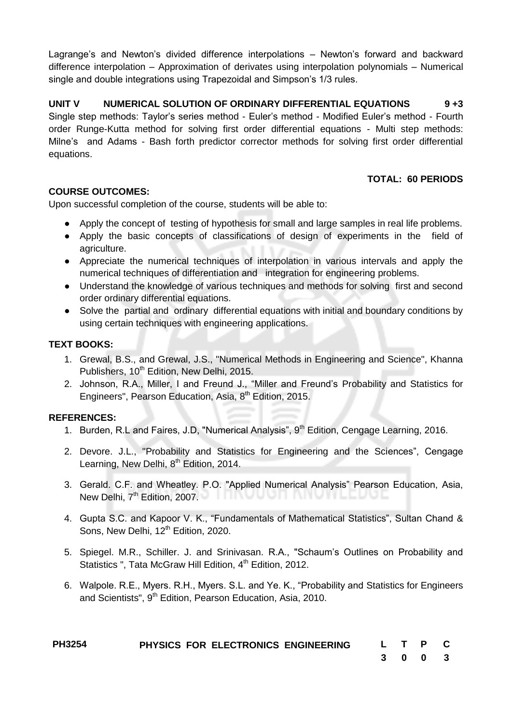Lagrange's and Newton's divided difference interpolations – Newton's forward and backward difference interpolation – Approximation of derivates using interpolation polynomials – Numerical single and double integrations using Trapezoidal and Simpson's 1/3 rules.

**UNIT V NUMERICAL SOLUTION OF ORDINARY DIFFERENTIAL EQUATIONS 9 +3** Single step methods: Taylor's series method - Euler's method - Modified Euler's method - Fourth order Runge-Kutta method for solving first order differential equations - Multi step methods: Milne's and Adams - Bash forth predictor corrector methods for solving first order differential equations.

# **TOTAL: 60 PERIODS**

# **COURSE OUTCOMES:**

Upon successful completion of the course, students will be able to:

- Apply the concept of testing of hypothesis for small and large samples in real life problems.
- Apply the basic concepts of classifications of design of experiments in the field of agriculture.
- Appreciate the numerical techniques of interpolation in various intervals and apply the numerical techniques of differentiation and integration for engineering problems.
- Understand the knowledge of various techniques and methods for solving first and second order ordinary differential equations.
- Solve the partial and ordinary differential equations with initial and boundary conditions by using certain techniques with engineering applications.

# **TEXT BOOKS:**

- 1. Grewal, B.S., and Grewal, J.S., "Numerical Methods in Engineering and Science", Khanna Publishers, 10<sup>th</sup> Edition, New Delhi, 2015.
- 2. Johnson, R.A., Miller, I and Freund J., "Miller and Freund's Probability and Statistics for Engineers", Pearson Education, Asia, 8<sup>th</sup> Edition, 2015.

# **REFERENCES:**

- 1. Burden, R.L and Faires, J.D, "Numerical Analysis", 9<sup>th</sup> Edition, Cengage Learning, 2016.
- 2. Devore. J.L., "Probability and Statistics for Engineering and the Sciences", Cengage Learning, New Delhi, 8<sup>th</sup> Edition, 2014.
- 3. Gerald. C.F. and Wheatley. P.O. "Applied Numerical Analysis" Pearson Education, Asia, New Delhi,  $7<sup>th</sup>$  Edition, 2007.  $\blacksquare$
- 4. Gupta S.C. and Kapoor V. K., "Fundamentals of Mathematical Statistics", Sultan Chand & Sons, New Delhi, 12<sup>th</sup> Edition, 2020.
- 5. Spiegel. M.R., Schiller. J. and Srinivasan. R.A., "Schaum's Outlines on Probability and Statistics ", Tata McGraw Hill Edition, 4<sup>th</sup> Edition, 2012.
- 6. Walpole. R.E., Myers. R.H., Myers. S.L. and Ye. K., "Probability and Statistics for Engineers and Scientists", 9<sup>th</sup> Edition, Pearson Education, Asia, 2010.

| <b>PH3254</b> |  | PHYSICS FOR ELECTRONICS ENGINEERING | L T P C |         |  |
|---------------|--|-------------------------------------|---------|---------|--|
|               |  |                                     |         | 3 0 0 3 |  |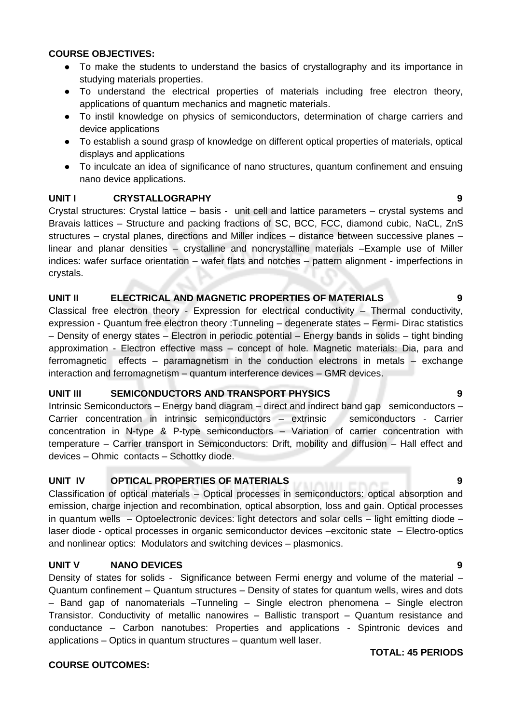#### **COURSE OBJECTIVES:**

- To make the students to understand the basics of crystallography and its importance in studying materials properties.
- To understand the electrical properties of materials including free electron theory, applications of quantum mechanics and magnetic materials.
- To instil knowledge on physics of semiconductors, determination of charge carriers and device applications
- To establish a sound grasp of knowledge on different optical properties of materials, optical displays and applications
- To inculcate an idea of significance of nano structures, quantum confinement and ensuing nano device applications.

#### **UNIT I CRYSTALLOGRAPHY 9**

Crystal structures: Crystal lattice – basis - unit cell and lattice parameters – crystal systems and Bravais lattices – Structure and packing fractions of SC, BCC, FCC, diamond cubic, NaCL, ZnS structures – crystal planes, directions and Miller indices – distance between successive planes – linear and planar densities – crystalline and noncrystalline materials –Example use of Miller indices: wafer surface orientation – wafer flats and notches – pattern alignment - imperfections in crystals.

### **UNIT II ELECTRICAL AND MAGNETIC PROPERTIES OF MATERIALS 9**

Classical free electron theory - Expression for electrical conductivity – Thermal conductivity, expression - Quantum free electron theory :Tunneling – degenerate states – Fermi- Dirac statistics – Density of energy states – Electron in periodic potential – Energy bands in solids – tight binding approximation - Electron effective mass – concept of hole. Magnetic materials: Dia, para and ferromagnetic effects – paramagnetism in the conduction electrons in metals – exchange interaction and ferromagnetism – quantum interference devices – GMR devices.

#### **UNIT III SEMICONDUCTORS AND TRANSPORT PHYSICS 9**

Intrinsic Semiconductors – Energy band diagram – direct and indirect band gap semiconductors – Carrier concentration in intrinsic semiconductors – extrinsic semiconductors - Carrier concentration in N-type & P-type semiconductors – Variation of carrier concentration with temperature – Carrier transport in Semiconductors: Drift, mobility and diffusion – Hall effect and devices – Ohmic contacts – Schottky diode.

#### **UNIT IV OPTICAL PROPERTIES OF MATERIALS 9**

Classification of optical materials – Optical processes in semiconductors: optical absorption and emission, charge injection and recombination, optical absorption, loss and gain. Optical processes in quantum wells – Optoelectronic devices: light detectors and solar cells – light emitting diode – laser diode - optical processes in organic semiconductor devices –excitonic state – Electro-optics and nonlinear optics: Modulators and switching devices – plasmonics.

#### **UNIT V NANO DEVICES 9**

Density of states for solids - Significance between Fermi energy and volume of the material – Quantum confinement – Quantum structures – Density of states for quantum wells, wires and dots – Band gap of nanomaterials –Tunneling – Single electron phenomena – Single electron Transistor. Conductivity of metallic nanowires – Ballistic transport – Quantum resistance and conductance – Carbon nanotubes: Properties and applications - Spintronic devices and applications – Optics in quantum structures – quantum well laser.

#### **COURSE OUTCOMES:**

#### **TOTAL: 45 PERIODS**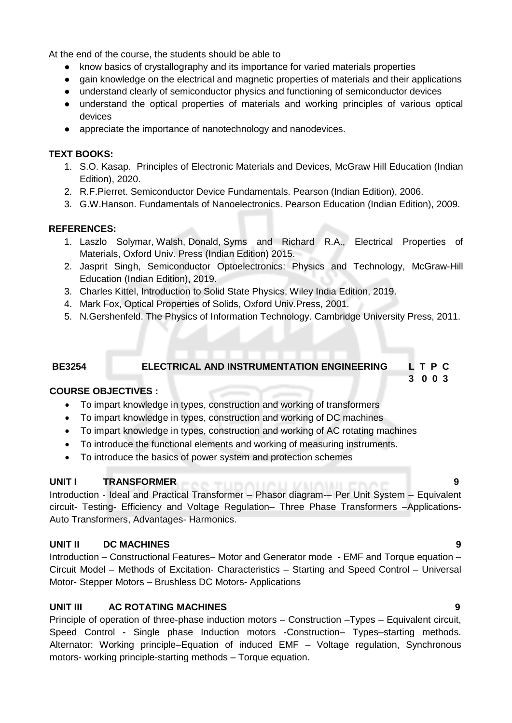At the end of the course, the students should be able to

- know basics of crystallography and its importance for varied materials properties
- gain knowledge on the electrical and magnetic properties of materials and their applications
- understand clearly of semiconductor physics and functioning of semiconductor devices
- understand the optical properties of materials and working principles of various optical devices
- appreciate the importance of nanotechnology and nanodevices.

### **TEXT BOOKS:**

- 1. S.O. Kasap. Principles of Electronic Materials and Devices, McGraw Hill Education (Indian Edition), 2020.
- 2. R.F.Pierret. Semiconductor Device Fundamentals. Pearson (Indian Edition), 2006.
- 3. G.W.Hanson. Fundamentals of Nanoelectronics. Pearson Education (Indian Edition), 2009.

# **REFERENCES:**

- 1. [Laszlo Solymar,](https://www.amazon.in/s/ref=dp_byline_sr_book_1?ie=UTF8&field-author=Laszlo+Solymar&search-alias=stripbooks) [Walsh,](https://www.amazon.in/s/ref=dp_byline_sr_book_2?ie=UTF8&field-author=Walsh&search-alias=stripbooks) [Donald,](https://www.amazon.in/s/ref=dp_byline_sr_book_3?ie=UTF8&field-author=Donald&search-alias=stripbooks) [Syms](https://www.amazon.in/s/ref=dp_byline_sr_book_4?ie=UTF8&field-author=Syms&search-alias=stripbooks) and [Richard R.A.,](https://www.amazon.in/s/ref=dp_byline_sr_book_5?ie=UTF8&field-author=Richard+R.A.&search-alias=stripbooks) Electrical Properties of Materials, Oxford Univ. Press (Indian Edition) 2015.
- 2. Jasprit Singh, Semiconductor Optoelectronics: Physics and Technology, McGraw-Hill Education (Indian Edition), 2019.
- 3. Charles Kittel, Introduction to Solid State Physics, Wiley India Edition, 2019.
- 4. Mark Fox, Optical Properties of Solids, Oxford Univ.Press, 2001.
- 5. N.Gershenfeld. The Physics of Information Technology. Cambridge University Press, 2011.

# **BE3254 ELECTRICAL AND INSTRUMENTATION ENGINEERING L T P C**

# **COURSE OBJECTIVES :**

- To impart knowledge in types, construction and working of transformers
- To impart knowledge in types, construction and working of DC machines
- To impart knowledge in types, construction and working of AC rotating machines
- To introduce the functional elements and working of measuring instruments.
- To introduce the basics of power system and protection schemes

#### UNIT **I** TRANSFORMER

Introduction - Ideal and Practical Transformer – Phasor diagram-– Per Unit System – Equivalent circuit- Testing- Efficiency and Voltage Regulation– Three Phase Transformers –Applications-Auto Transformers, Advantages- Harmonics.

# **UNIT II DC MACHINES 9**

Introduction – Constructional Features– Motor and Generator mode - EMF and Torque equation – Circuit Model – Methods of Excitation- Characteristics – Starting and Speed Control – Universal Motor- Stepper Motors – Brushless DC Motors- Applications

# **UNIT III AC ROTATING MACHINES 9**

Principle of operation of three-phase induction motors – Construction –Types – Equivalent circuit, Speed Control - Single phase Induction motors -Construction– Types–starting methods. Alternator: Working principle–Equation of induced EMF – Voltage regulation, Synchronous motors- working principle-starting methods – Torque equation.

 **3 0 0 3**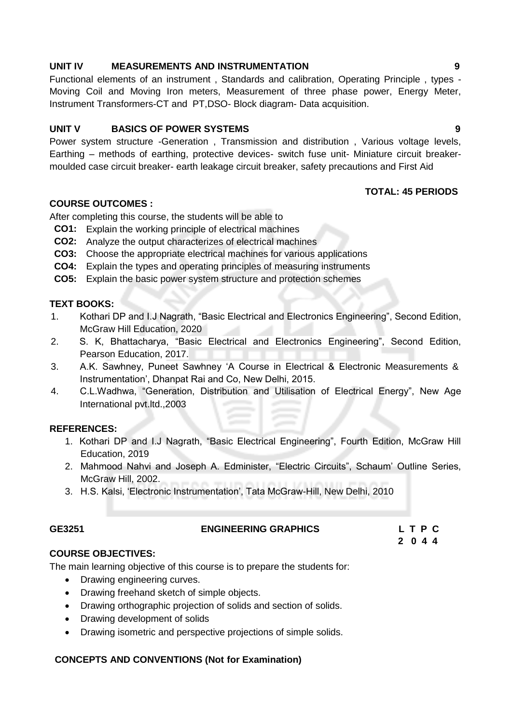#### **UNIT IV MEASUREMENTS AND INSTRUMENTATION 9**

Functional elements of an instrument , Standards and calibration, Operating Principle , types - Moving Coil and Moving Iron meters, Measurement of three phase power, Energy Meter, Instrument Transformers-CT and PT,DSO- Block diagram- Data acquisition.

#### **UNIT V BASICS OF POWER SYSTEMS 9**

Power system structure -Generation , Transmission and distribution , Various voltage levels, Earthing – methods of earthing, protective devices- switch fuse unit- Miniature circuit breakermoulded case circuit breaker- earth leakage circuit breaker, safety precautions and First Aid

#### **TOTAL: 45 PERIODS**

### **COURSE OUTCOMES :**

After completing this course, the students will be able to

- **CO1:** Explain the working principle of electrical machines
- **CO2:** Analyze the output characterizes of electrical machines
- **CO3:** Choose the appropriate electrical machines for various applications
- **CO4:** Explain the types and operating principles of measuring instruments
- **CO5:** Explain the basic power system structure and protection schemes

#### **TEXT BOOKS:**

- 1. Kothari DP and I.J Nagrath, "Basic Electrical and Electronics Engineering", Second Edition, McGraw Hill Education, 2020
- 2. S. K, Bhattacharya, "Basic Electrical and Electronics Engineering", Second Edition, Pearson Education, 2017.
- 3. A.K. Sawhney, Puneet Sawhney 'A Course in Electrical & Electronic Measurements & Instrumentation', Dhanpat Rai and Co, New Delhi, 2015.
- 4. C.L.Wadhwa, "Generation, Distribution and Utilisation of Electrical Energy", New Age International pvt.ltd.,2003

#### **REFERENCES:**

- 1. Kothari DP and I.J Nagrath, "Basic Electrical Engineering", Fourth Edition, McGraw Hill Education, 2019
- 2. Mahmood Nahvi and Joseph A. Edminister, "Electric Circuits", Schaum' Outline Series, McGraw Hill, 2002.
- 3. H.S. Kalsi, 'Electronic Instrumentation', Tata McGraw-Hill, New Delhi, 2010

#### **GE3251 ENGINEERING GRAPHICS L T P C**

 **2 0 4 4**

#### **COURSE OBJECTIVES:**

The main learning objective of this course is to prepare the students for:

- Drawing engineering curves.
- Drawing freehand sketch of simple objects.
- Drawing orthographic projection of solids and section of solids.
- Drawing development of solids
- Drawing isometric and perspective projections of simple solids.

#### **CONCEPTS AND CONVENTIONS (Not for Examination)**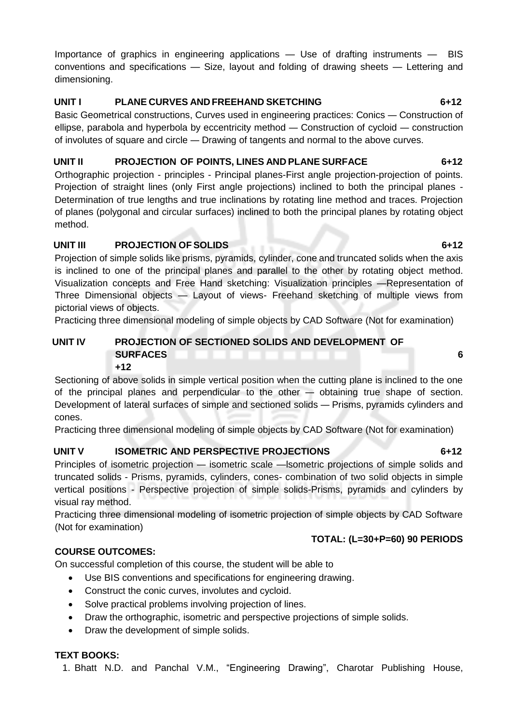Importance of graphics in engineering applications — Use of drafting instruments — BIS conventions and specifications — Size, layout and folding of drawing sheets — Lettering and dimensioning.

# **UNIT I PLANE CURVES AND FREEHAND SKETCHING 6+12**

Basic Geometrical constructions, Curves used in engineering practices: Conics — Construction of ellipse, parabola and hyperbola by eccentricity method — Construction of cycloid — construction of involutes of square and circle — Drawing of tangents and normal to the above curves.

# **UNIT II PROJECTION OF POINTS, LINES AND PLANE SURFACE 6+12**

Orthographic projection - principles - Principal planes-First angle projection-projection of points. Projection of straight lines (only First angle projections) inclined to both the principal planes - Determination of true lengths and true inclinations by rotating line method and traces. Projection of planes (polygonal and circular surfaces) inclined to both the principal planes by rotating object method.

# **UNIT III PROJECTION OF SOLIDS 6+12**

Projection of simple solids like prisms, pyramids, cylinder, cone and truncated solids when the axis is inclined to one of the principal planes and parallel to the other by rotating object method. Visualization concepts and Free Hand sketching: Visualization principles —Representation of Three Dimensional objects — Layout of views- Freehand sketching of multiple views from pictorial views of objects.

Practicing three dimensional modeling of simple objects by CAD Software (Not for examination)

#### **UNIT IV PROJECTION OF SECTIONED SOLIDS AND DEVELOPMENT OF SURFACES 6 +12**

Sectioning of above solids in simple vertical position when the cutting plane is inclined to the one of the principal planes and perpendicular to the other — obtaining true shape of section. Development of lateral surfaces of simple and sectioned solids — Prisms, pyramids cylinders and cones.

Practicing three dimensional modeling of simple objects by CAD Software (Not for examination)

# **UNIT V ISOMETRIC AND PERSPECTIVE PROJECTIONS 6+12**

Principles of isometric projection — isometric scale —lsometric projections of simple solids and truncated solids - Prisms, pyramids, cylinders, cones- combination of two solid objects in simple vertical positions - Perspective projection of simple solids-Prisms, pyramids and cylinders by visual ray method.

Practicing three dimensional modeling of isometric projection of simple objects by CAD Software (Not for examination)

# **TOTAL: (L=30+P=60) 90 PERIODS**

**COURSE OUTCOMES:**

On successful completion of this course, the student will be able to

- Use BIS conventions and specifications for engineering drawing.
- Construct the conic curves, involutes and cycloid.
- Solve practical problems involving projection of lines.
- Draw the orthographic, isometric and perspective projections of simple solids.
- Draw the development of simple solids.

# **TEXT BOOKS:**

1. Bhatt N.D. and Panchal V.M., "Engineering Drawing", Charotar Publishing House,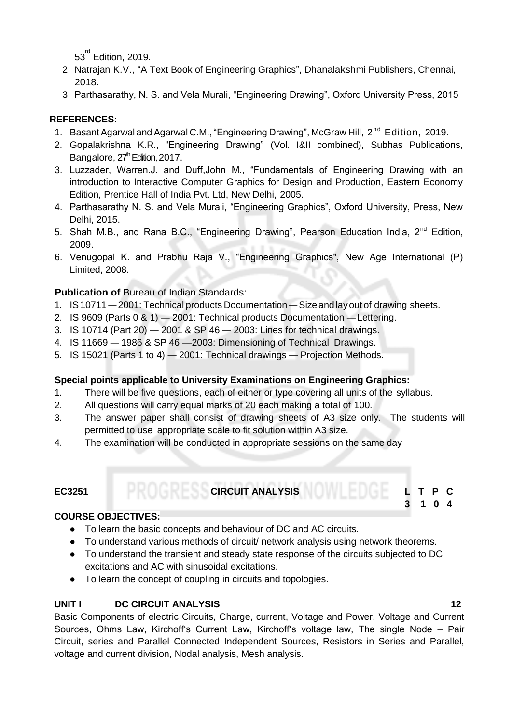$53^{^{\mathsf{rd}}}$  Edition, 2019.

- 2. Natrajan K.V., "A Text Book of Engineering Graphics", Dhanalakshmi Publishers, Chennai, 2018.
- 3. Parthasarathy, N. S. and Vela Murali, "Engineering Drawing", Oxford University Press, 2015

# **REFERENCES:**

- 1. Basant Agarwal and Agarwal C.M., "Engineering Drawing", McGraw Hill, 2<sup>nd</sup> Edition, 2019.
- 2. Gopalakrishna K.R., "Engineering Drawing" (Vol. I&II combined), Subhas Publications, Bangalore, 27<sup>th</sup> Edition, 2017.
- 3. Luzzader, Warren.J. and Duff,John M., "Fundamentals of Engineering Drawing with an introduction to Interactive Computer Graphics for Design and Production, Eastern Economy Edition, Prentice Hall of India Pvt. Ltd, New Delhi, 2005.
- 4. Parthasarathy N. S. and Vela Murali, "Engineering Graphics", Oxford University, Press, New Delhi, 2015.
- 5. Shah M.B., and Rana B.C., "Engineering Drawing", Pearson Education India, 2<sup>nd</sup> Edition, 2009.
- 6. Venugopal K. and Prabhu Raja V., "Engineering Graphics", New Age International (P) Limited, 2008.

# **Publication of Bureau of Indian Standards:**

- 1. IS10711 2001: Technical products Documentation Size and layout of drawing sheets.
- 2. IS 9609 (Parts 0 & 1) 2001: Technical products Documentation —Lettering.
- 3. IS 10714 (Part 20) 2001 & SP 46 2003: Lines for technical drawings.
- 4. IS 11669 1986 & SP 46 —2003: Dimensioning of Technical Drawings.
- 5. IS 15021 (Parts 1 to 4) 2001: Technical drawings Projection Methods.

# **Special points applicable to University Examinations on Engineering Graphics:**

- 1. There will be five questions, each of either or type covering all units of the syllabus.
- 2. All questions will carry equal marks of 20 each making a total of 100.
- 3. The answer paper shall consist of drawing sheets of A3 size only. The students will be permitted to use appropriate scale to fit solution within A3 size.
- 4. The examination will be conducted in appropriate sessions on the same day

# **EC3251 CIRCUIT ANALYSIS L T P C**

# **COURSE OBJECTIVES:**

- To learn the basic concepts and behaviour of DC and AC circuits.
- To understand various methods of circuit/ network analysis using network theorems.
- To understand the transient and steady state response of the circuits subjected to DC excitations and AC with sinusoidal excitations.
- To learn the concept of coupling in circuits and topologies.

# **UNIT I DC CIRCUIT ANALYSIS 12**

Basic Components of electric Circuits, Charge, current, Voltage and Power, Voltage and Current Sources, Ohms Law, Kirchoff's Current Law, Kirchoff's voltage law, The single Node – Pair Circuit, series and Parallel Connected Independent Sources, Resistors in Series and Parallel, voltage and current division, Nodal analysis, Mesh analysis.

**3 1 0 4**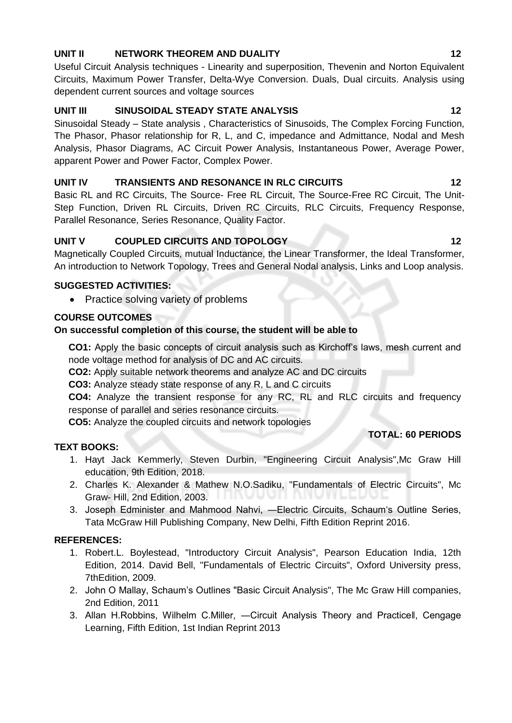# **UNIT II NETWORK THEOREM AND DUALITY 12**

Useful Circuit Analysis techniques - Linearity and superposition, Thevenin and Norton Equivalent Circuits, Maximum Power Transfer, Delta-Wye Conversion. Duals, Dual circuits. Analysis using dependent current sources and voltage sources

# UNIT III SINUSOIDAL STEADY STATE ANALYSIS 12

Sinusoidal Steady – State analysis , Characteristics of Sinusoids, The Complex Forcing Function, The Phasor, Phasor relationship for R, L, and C, impedance and Admittance, Nodal and Mesh Analysis, Phasor Diagrams, AC Circuit Power Analysis, Instantaneous Power, Average Power, apparent Power and Power Factor, Complex Power.

# **UNIT IV TRANSIENTS AND RESONANCE IN RLC CIRCUITS 12**

Basic RL and RC Circuits, The Source- Free RL Circuit, The Source-Free RC Circuit, The Unit-Step Function, Driven RL Circuits, Driven RC Circuits, RLC Circuits, Frequency Response, Parallel Resonance, Series Resonance, Quality Factor.

# **UNIT V COUPLED CIRCUITS AND TOPOLOGY 12**

Magnetically Coupled Circuits, mutual Inductance, the Linear Transformer, the Ideal Transformer, An introduction to Network Topology, Trees and General Nodal analysis, Links and Loop analysis.

# **SUGGESTED ACTIVITIES:**

• Practice solving variety of problems

# **COURSE OUTCOMES**

# **On successful completion of this course, the student will be able to**

**CO1:** Apply the basic concepts of circuit analysis such as Kirchoff's laws, mesh current and node voltage method for analysis of DC and AC circuits.

**CO2:** Apply suitable network theorems and analyze AC and DC circuits

**CO3:** Analyze steady state response of any R, L and C circuits

**CO4:** Analyze the transient response for any RC, RL and RLC circuits and frequency response of parallel and series resonance circuits.

**CO5:** Analyze the coupled circuits and network topologies

# **TEXT BOOKS:**

- 1. Hayt Jack Kemmerly, Steven Durbin, "Engineering Circuit Analysis",Mc Graw Hill education, 9th Edition, 2018.
- 2. Charles K. Alexander & Mathew N.O.Sadiku, "Fundamentals of Electric Circuits", Mc Graw- Hill, 2nd Edition, 2003.
- 3. Joseph Edminister and Mahmood Nahvi, ―Electric Circuits, Schaum's Outline Series, Tata McGraw Hill Publishing Company, New Delhi, Fifth Edition Reprint 2016.

# **REFERENCES:**

- 1. Robert.L. Boylestead, "Introductory Circuit Analysis", Pearson Education India, 12th Edition, 2014. David Bell, "Fundamentals of Electric Circuits", Oxford University press, 7thEdition, 2009.
- 2. John O Mallay, Schaum's Outlines "Basic Circuit Analysis", The Mc Graw Hill companies, 2nd Edition, 2011
- 3. Allan H.Robbins, Wilhelm C.Miller, ―Circuit Analysis Theory and Practice‖, Cengage Learning, Fifth Edition, 1st Indian Reprint 2013

 **TOTAL: 60 PERIODS**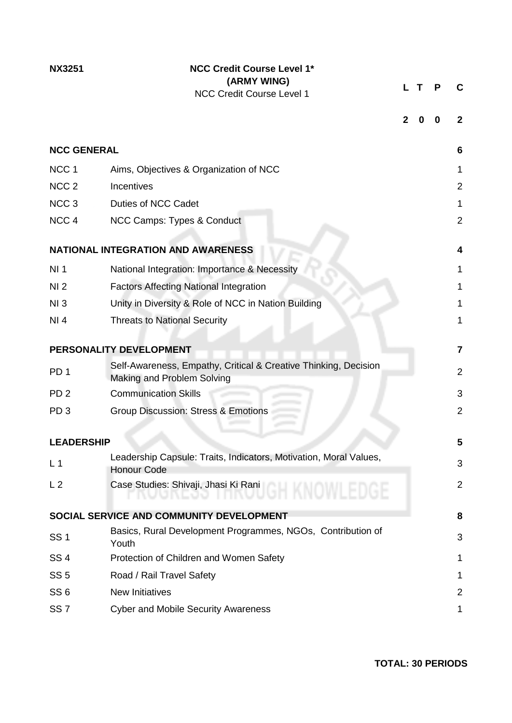# **NX3251 NCC Credit Course Level 1\* (ARMY WING)** NCC Credit Course Level 1

**L T P C**

| <b>NCC GENERAL</b> |                                                                                               | 6                       |
|--------------------|-----------------------------------------------------------------------------------------------|-------------------------|
| NCC <sub>1</sub>   | Aims, Objectives & Organization of NCC                                                        | 1                       |
| NCC <sub>2</sub>   | Incentives                                                                                    | $\overline{2}$          |
| NCC <sub>3</sub>   | <b>Duties of NCC Cadet</b>                                                                    | 1                       |
| NCC <sub>4</sub>   | NCC Camps: Types & Conduct                                                                    | $\overline{2}$          |
|                    | <b>NATIONAL INTEGRATION AND AWARENESS</b>                                                     | $\overline{\mathbf{4}}$ |
| NI <sub>1</sub>    | National Integration: Importance & Necessity                                                  | 1                       |
| NI <sub>2</sub>    | <b>Factors Affecting National Integration</b>                                                 | 1                       |
| NI3                | Unity in Diversity & Role of NCC in Nation Building                                           | 1                       |
| NI 4               | <b>Threats to National Security</b>                                                           | 1                       |
|                    | PERSONALITY DEVELOPMENT                                                                       | 7                       |
| PD <sub>1</sub>    | Self-Awareness, Empathy, Critical & Creative Thinking, Decision<br>Making and Problem Solving | $\overline{2}$          |
| PD <sub>2</sub>    | <b>Communication Skills</b>                                                                   | 3                       |
| PD <sub>3</sub>    | <b>Group Discussion: Stress &amp; Emotions</b>                                                | $\overline{2}$          |
| <b>LEADERSHIP</b>  |                                                                                               | 5                       |
| L <sub>1</sub>     | Leadership Capsule: Traits, Indicators, Motivation, Moral Values,<br><b>Honour Code</b>       | 3                       |
| L <sub>2</sub>     | Case Studies: Shivaji, Jhasi Ki Rani                                                          | $\overline{2}$          |
|                    | SOCIAL SERVICE AND COMMUNITY DEVELOPMENT                                                      | 8                       |
| <b>SS1</b>         | Basics, Rural Development Programmes, NGOs, Contribution of<br>Youth                          | 3                       |
| SS <sub>4</sub>    | Protection of Children and Women Safety                                                       | 1                       |
| SS <sub>5</sub>    | Road / Rail Travel Safety                                                                     | 1                       |
| SS <sub>6</sub>    | <b>New Initiatives</b>                                                                        | 2                       |
| SS <sub>7</sub>    | <b>Cyber and Mobile Security Awareness</b>                                                    | 1                       |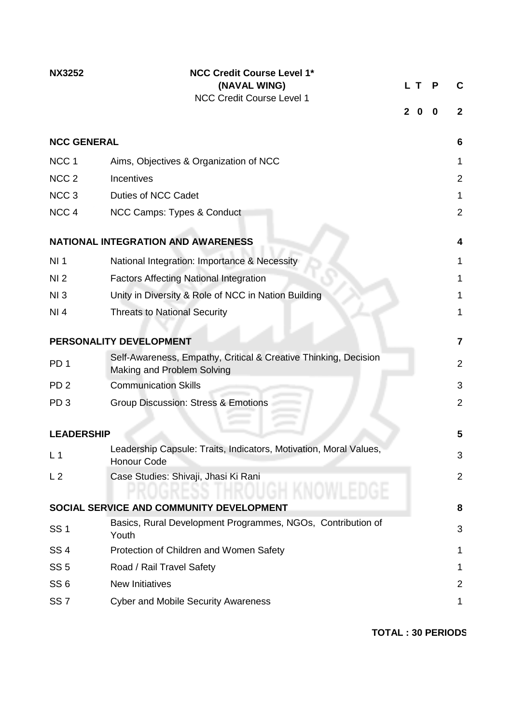| <b>NX3252</b>      | <b>NCC Credit Course Level 1*</b><br>(NAVAL WING)<br><b>NCC Credit Course Level 1</b>         | $\mathbf{2}$ | L T.<br>0 | P<br>0 | C<br>$\mathbf{2}$ |
|--------------------|-----------------------------------------------------------------------------------------------|--------------|-----------|--------|-------------------|
|                    |                                                                                               |              |           |        |                   |
| <b>NCC GENERAL</b> |                                                                                               |              |           |        | 6                 |
| NCC <sub>1</sub>   | Aims, Objectives & Organization of NCC                                                        |              |           |        | 1                 |
| NCC <sub>2</sub>   | Incentives                                                                                    |              |           |        | $\overline{2}$    |
| NCC <sub>3</sub>   | Duties of NCC Cadet                                                                           |              |           |        | 1                 |
| NCC <sub>4</sub>   | NCC Camps: Types & Conduct                                                                    |              |           |        | $\overline{2}$    |
|                    |                                                                                               |              |           |        |                   |
|                    | <b>NATIONAL INTEGRATION AND AWARENESS</b>                                                     |              |           |        | 4                 |
| NI <sub>1</sub>    | National Integration: Importance & Necessity                                                  |              |           |        | 1                 |
| NI <sub>2</sub>    | <b>Factors Affecting National Integration</b>                                                 |              |           |        | 1                 |
| NI3                | Unity in Diversity & Role of NCC in Nation Building                                           |              |           |        | 1                 |
| NI 4               | <b>Threats to National Security</b>                                                           |              |           |        | 1                 |
|                    |                                                                                               |              |           |        |                   |
|                    | PERSONALITY DEVELOPMENT                                                                       |              |           |        | $\overline{7}$    |
| PD <sub>1</sub>    | Self-Awareness, Empathy, Critical & Creative Thinking, Decision<br>Making and Problem Solving |              |           |        | 2                 |
| PD <sub>2</sub>    | <b>Communication Skills</b>                                                                   |              |           |        | 3                 |
| PD <sub>3</sub>    | <b>Group Discussion: Stress &amp; Emotions</b>                                                |              |           |        | $\overline{2}$    |
|                    |                                                                                               |              |           |        |                   |
| <b>LEADERSHIP</b>  |                                                                                               |              |           |        | 5                 |
| L <sub>1</sub>     | Leadership Capsule: Traits, Indicators, Motivation, Moral Values,<br><b>Honour Code</b>       |              |           |        | 3                 |
| L <sub>2</sub>     | Case Studies: Shivaji, Jhasi Ki Rani                                                          |              |           |        | $\overline{2}$    |
|                    | SOCIAL SERVICE AND COMMUNITY DEVELOPMENT                                                      |              |           |        | 8                 |
| <b>SS1</b>         | Basics, Rural Development Programmes, NGOs, Contribution of<br>Youth                          |              |           |        | 3                 |
| <b>SS4</b>         | Protection of Children and Women Safety                                                       |              |           |        | 1                 |
| SS <sub>5</sub>    | Road / Rail Travel Safety                                                                     |              |           |        | 1                 |
| SS <sub>6</sub>    | <b>New Initiatives</b>                                                                        |              |           |        | $\overline{2}$    |
| SS <sub>7</sub>    | <b>Cyber and Mobile Security Awareness</b>                                                    |              |           |        | 1                 |
|                    |                                                                                               |              |           |        |                   |

**TOTAL : 30 PERIODS**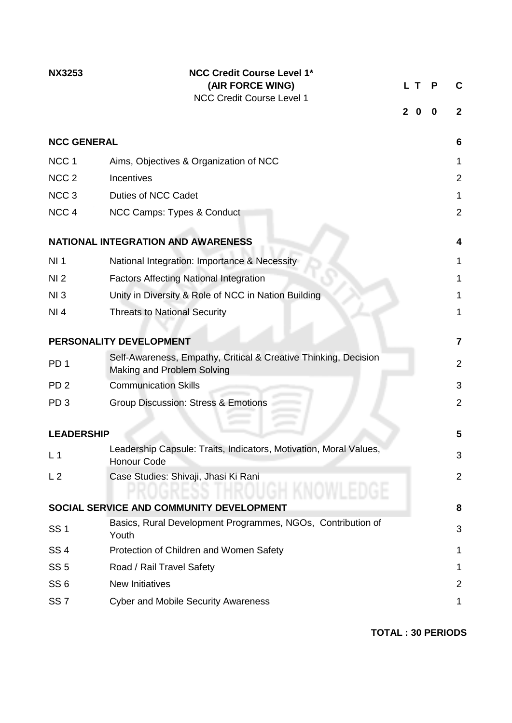| <b>NX3253</b>      | <b>NCC Credit Course Level 1*</b><br>(AIR FORCE WING)<br>NCC Credit Course Level 1            | $\mathbf{2}$ | L T.<br>0 | Р<br>0 | С<br>$\mathbf{2}$ |
|--------------------|-----------------------------------------------------------------------------------------------|--------------|-----------|--------|-------------------|
| <b>NCC GENERAL</b> |                                                                                               |              |           |        | 6                 |
| NCC <sub>1</sub>   | Aims, Objectives & Organization of NCC                                                        |              |           |        | 1                 |
| NCC <sub>2</sub>   | Incentives                                                                                    |              |           |        | 2                 |
| NCC <sub>3</sub>   | <b>Duties of NCC Cadet</b>                                                                    |              |           |        | 1                 |
| NCC <sub>4</sub>   | NCC Camps: Types & Conduct                                                                    |              |           |        | 2                 |
|                    | <b>NATIONAL INTEGRATION AND AWARENESS</b>                                                     |              |           |        | 4                 |
| NI <sub>1</sub>    | National Integration: Importance & Necessity                                                  |              |           |        | 1                 |
| NI <sub>2</sub>    | <b>Factors Affecting National Integration</b>                                                 |              |           |        | 1                 |
| NI3                | Unity in Diversity & Role of NCC in Nation Building                                           |              |           |        | 1                 |
| NI 4               | <b>Threats to National Security</b>                                                           |              |           |        | 1                 |
|                    | PERSONALITY DEVELOPMENT                                                                       |              |           |        | $\overline{7}$    |
| PD <sub>1</sub>    | Self-Awareness, Empathy, Critical & Creative Thinking, Decision<br>Making and Problem Solving |              |           |        | 2                 |
| PD <sub>2</sub>    | <b>Communication Skills</b>                                                                   |              |           |        | 3                 |
| PD <sub>3</sub>    | <b>Group Discussion: Stress &amp; Emotions</b>                                                |              |           |        | $\overline{2}$    |
|                    |                                                                                               |              |           |        |                   |
| <b>LEADERSHIP</b>  |                                                                                               |              |           |        | 5                 |
| L <sub>1</sub>     | Leadership Capsule: Traits, Indicators, Motivation, Moral Values,<br><b>Honour Code</b>       |              |           |        | 3                 |
| L <sub>2</sub>     | Case Studies: Shivaji, Jhasi Ki Rani                                                          |              |           |        | $\overline{2}$    |
|                    | SOCIAL SERVICE AND COMMUNITY DEVELOPMENT                                                      |              |           |        | 8                 |
| <b>SS1</b>         | Basics, Rural Development Programmes, NGOs, Contribution of<br>Youth                          |              |           |        | 3                 |
| SS <sub>4</sub>    | Protection of Children and Women Safety                                                       |              |           |        | 1                 |
| SS <sub>5</sub>    | Road / Rail Travel Safety                                                                     |              |           |        | 1                 |
| SS <sub>6</sub>    | <b>New Initiatives</b>                                                                        |              |           |        | $\overline{2}$    |
| SS <sub>7</sub>    | <b>Cyber and Mobile Security Awareness</b>                                                    |              |           |        | 1                 |

**TOTAL : 30 PERIODS**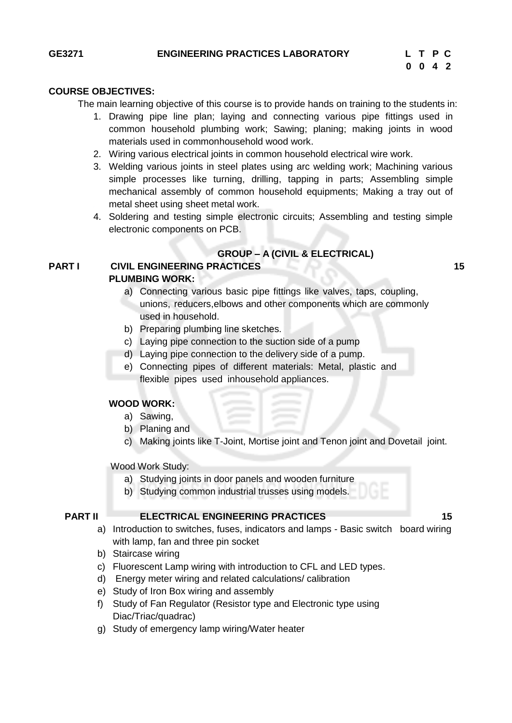### **COURSE OBJECTIVES:**

The main learning objective of this course is to provide hands on training to the students in:

- 1. Drawing pipe line plan; laying and connecting various pipe fittings used in common household plumbing work; Sawing; planing; making joints in wood materials used in commonhousehold wood work.
- 2. Wiring various electrical joints in common household electrical wire work.
- 3. Welding various joints in steel plates using arc welding work; Machining various simple processes like turning, drilling, tapping in parts; Assembling simple mechanical assembly of common household equipments; Making a tray out of metal sheet using sheet metal work.
- 4. Soldering and testing simple electronic circuits; Assembling and testing simple electronic components on PCB.

#### **GROUP – A (CIVIL & ELECTRICAL)**

#### **PART I CIVIL ENGINEERING PRACTICES 15 PLUMBING WORK:**

- a) Connecting various basic pipe fittings like valves, taps, coupling, unions, reducers,elbows and other components which are commonly used in household.
- b) Preparing plumbing line sketches.
- c) Laying pipe connection to the suction side of a pump
- d) Laying pipe connection to the delivery side of a pump.
- e) Connecting pipes of different materials: Metal, plastic and flexible pipes used inhousehold appliances.

#### **WOOD WORK:**

- a) Sawing,
- b) Planing and
- c) Making joints like T-Joint, Mortise joint and Tenon joint and Dovetail joint.

Wood Work Study:

- a) Studying joints in door panels and wooden furniture
- b) Studying common industrial trusses using models.

#### **PART II ELECTRICAL ENGINEERING PRACTICES 15**

- a) Introduction to switches, fuses, indicators and lamps Basic switch board wiring with lamp, fan and three pin socket
- b) Staircase wiring
- c) Fluorescent Lamp wiring with introduction to CFL and LED types.
- d) Energy meter wiring and related calculations/ calibration
- e) Study of Iron Box wiring and assembly
- f) Study of Fan Regulator (Resistor type and Electronic type using Diac/Triac/quadrac)
- g) Study of emergency lamp wiring/Water heater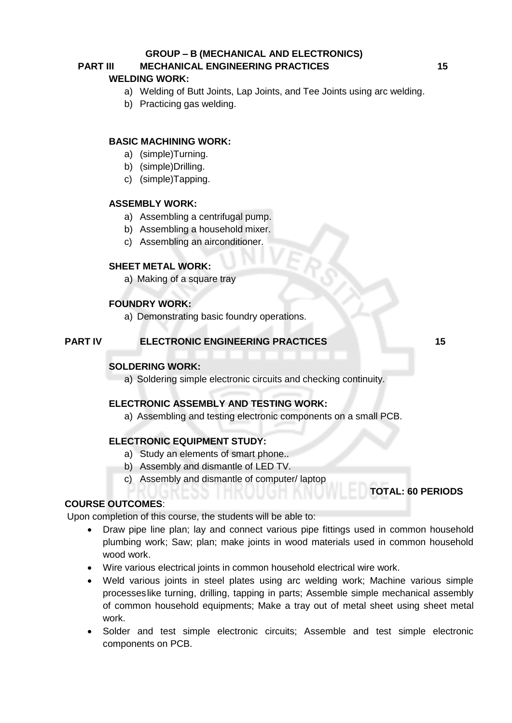#### **GROUP – B (MECHANICAL AND ELECTRONICS)**

# **PART III MECHANICAL ENGINEERING PRACTICES 15**

### **WELDING WORK:**

- a) Welding of Butt Joints, Lap Joints, and Tee Joints using arc welding.
- b) Practicing gas welding.

### **BASIC MACHINING WORK:**

- a) (simple)Turning.
- b) (simple)Drilling.
- c) (simple)Tapping.

### **ASSEMBLY WORK:**

- a) Assembling a centrifugal pump.
- b) Assembling a household mixer.
- c) Assembling an airconditioner.

#### **SHEET METAL WORK:**

a) Making of a square tray

#### **FOUNDRY WORK:**

a) Demonstrating basic foundry operations.

#### **PART IV ELECTRONIC ENGINEERING PRACTICES 15**

**TOTAL: 60 PERIODS**

#### **SOLDERING WORK:**

a) Soldering simple electronic circuits and checking continuity.

#### **ELECTRONIC ASSEMBLY AND TESTING WORK:**

a) Assembling and testing electronic components on a small PCB.

#### **ELECTRONIC EQUIPMENT STUDY:**

- a) Study an elements of smart phone..
- b) Assembly and dismantle of LED TV.
- c) Assembly and dismantle of computer/ laptop

### **COURSE OUTCOMES**:

Upon completion of this course, the students will be able to:

- Draw pipe line plan; lay and connect various pipe fittings used in common household plumbing work; Saw; plan; make joints in wood materials used in common household wood work.
- Wire various electrical joints in common household electrical wire work.
- Weld various joints in steel plates using arc welding work; Machine various simple processeslike turning, drilling, tapping in parts; Assemble simple mechanical assembly of common household equipments; Make a tray out of metal sheet using sheet metal work.
- Solder and test simple electronic circuits; Assemble and test simple electronic components on PCB.